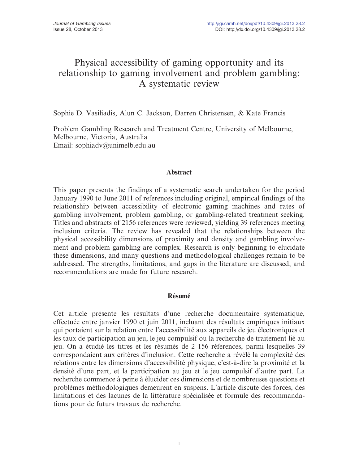# Physical accessibility of gaming opportunity and its relationship to gaming involvement and problem gambling: A systematic review

Sophie D. Vasiliadis, Alun C. Jackson, Darren Christensen, & Kate Francis

Problem Gambling Research and Treatment Centre, University of Melbourne, Melbourne, Victoria, Australia Email: sophiadv@unimelb.edu.au

#### Abstract

This paper presents the findings of a systematic search undertaken for the period January 1990 to June 2011 of references including original, empirical findings of the relationship between accessibility of electronic gaming machines and rates of gambling involvement, problem gambling, or gambling-related treatment seeking. Titles and abstracts of 2156 references were reviewed, yielding 39 references meeting inclusion criteria. The review has revealed that the relationships between the physical accessibility dimensions of proximity and density and gambling involvement and problem gambling are complex. Research is only beginning to elucidate these dimensions, and many questions and methodological challenges remain to be addressed. The strengths, limitations, and gaps in the literature are discussed, and recommendations are made for future research.

# **Résumé**

Cet article présente les résultats d'une recherche documentaire systématique, effectuée entre janvier 1990 et juin 2011, incluant des résultats empiriques initiaux qui portaient sur la relation entre l'accessibilité aux appareils de jeu électroniques et les taux de participation au jeu, le jeu compulsif ou la recherche de traitement lié au jeu. On a étudié les titres et les résumés de 2 156 références, parmi lesquelles 39 correspondaient aux critères d'inclusion. Cette recherche a révélé la complexité des relations entre les dimensions d'accessibilité physique, c'est-à-dire la proximité et la densité d'une part, et la participation au jeu et le jeu compulsif d'autre part. La recherche commence à peine à élucider ces dimensions et de nombreuses questions et proble`mes me´thodologiques demeurent en suspens. L'article discute des forces, des limitations et des lacunes de la littérature spécialisée et formule des recommandations pour de futurs travaux de recherche.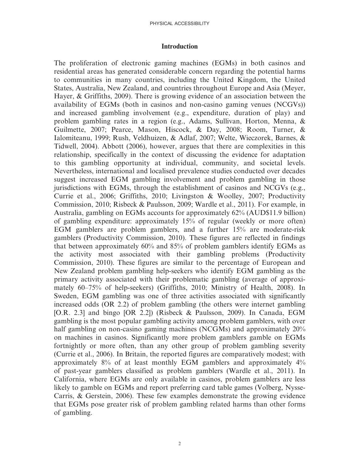#### Introduction

The proliferation of electronic gaming machines (EGMs) in both casinos and residential areas has generated considerable concern regarding the potential harms to communities in many countries, including the United Kingdom, the United States, Australia, New Zealand, and countries throughout Europe and Asia (Meyer, Hayer, & Griffiths, 2009). There is growing evidence of an association between the availability of EGMs (both in casinos and non-casino gaming venues (NCGVs)) and increased gambling involvement (e.g., expenditure, duration of play) and problem gambling rates in a region (e.g., Adams, Sullivan, Horton, Menna, & Guilmette, 2007; Pearce, Mason, Hiscock, & Day, 2008; Room, Turner, & Ialomiteanu, 1999; Rush, Veldhuizen, & Adlaf, 2007; Welte, Wieczorek, Barnes, & Tidwell, 2004). Abbott (2006), however, argues that there are complexities in this relationship, specifically in the context of discussing the evidence for adaptation to this gambling opportunity at individual, community, and societal levels. Nevertheless, international and localised prevalence studies conducted over decades suggest increased EGM gambling involvement and problem gambling in those jurisdictions with EGMs, through the establishment of casinos and NCGVs (e.g., Currie et al., 2006; Griffiths, 2010; Livingston & Woolley, 2007; Productivity Commission, 2010; Risbeck & Paulsson, 2009; Wardle et al., 2011). For example, in Australia, gambling on EGMs accounts for approximately 62% (AUD\$11.9 billion) of gambling expenditure: approximately 15% of regular (weekly or more often) EGM gamblers are problem gamblers, and a further 15% are moderate-risk gamblers (Productivity Commission, 2010). These figures are reflected in findings that between approximately 60% and 85% of problem gamblers identify EGMs as the activity most associated with their gambling problems (Productivity Commission, 2010). These figures are similar to the percentage of European and New Zealand problem gambling help-seekers who identify EGM gambling as the primary activity associated with their problematic gambling (average of approximately 60–75% of help-seekers) (Griffiths, 2010; Ministry of Health, 2008). In Sweden, EGM gambling was one of three activities associated with significantly increased odds (OR 2.2) of problem gambling (the others were internet gambling [O.R. 2.3] and bingo [OR 2.2]) (Risbeck & Paulsson, 2009). In Canada, EGM gambling is the most popular gambling activity among problem gamblers, with over half gambling on non-casino gaming machines (NCGMs) and approximately 20% on machines in casinos. Significantly more problem gamblers gamble on EGMs fortnightly or more often, than any other group of problem gambling severity (Currie et al., 2006). In Britain, the reported figures are comparatively modest; with approximately 8% of at least monthly EGM gamblers and approximately 4% of past-year gamblers classified as problem gamblers (Wardle et al., 2011). In California, where EGMs are only available in casinos, problem gamblers are less likely to gamble on EGMs and report preferring card table games (Volberg, Nysse-Carris, & Gerstein, 2006). These few examples demonstrate the growing evidence that EGMs pose greater risk of problem gambling related harms than other forms of gambling.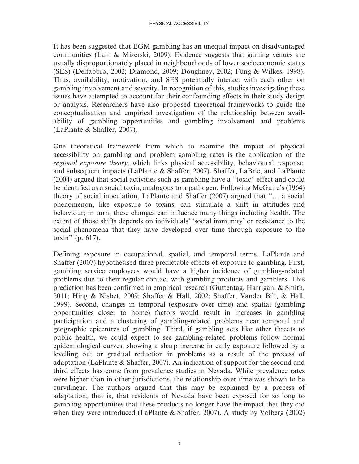It has been suggested that EGM gambling has an unequal impact on disadvantaged communities (Lam & Mizerski, 2009). Evidence suggests that gaming venues are usually disproportionately placed in neighbourhoods of lower socioeconomic status (SES) (Delfabbro, 2002; Diamond, 2009; Doughney, 2002; Fung & Wilkes, 1998). Thus, availability, motivation, and SES potentially interact with each other on gambling involvement and severity. In recognition of this, studies investigating these issues have attempted to account for their confounding effects in their study design or analysis. Researchers have also proposed theoretical frameworks to guide the conceptualisation and empirical investigation of the relationship between availability of gambling opportunities and gambling involvement and problems (LaPlante & Shaffer, 2007).

One theoretical framework from which to examine the impact of physical accessibility on gambling and problem gambling rates is the application of the regional exposure theory, which links physical accessibility, behavioural response, and subsequent impacts (LaPlante & Shaffer, 2007). Shaffer, LaBrie, and LaPlante (2004) argued that social activities such as gambling have a ''toxic'' effect and could be identified as a social toxin, analogous to a pathogen. Following McGuire's (1964) theory of social inoculation, LaPlante and Shaffer (2007) argued that ''… a social phenomenon, like exposure to toxins, can stimulate a shift in attitudes and behaviour; in turn, these changes can influence many things including health. The extent of those shifts depends on individuals' 'social immunity' or resistance to the social phenomena that they have developed over time through exposure to the toxin'' (p. 617).

Defining exposure in occupational, spatial, and temporal terms, LaPlante and Shaffer (2007) hypothesised three predictable effects of exposure to gambling. First, gambling service employees would have a higher incidence of gambling-related problems due to their regular contact with gambling products and gamblers. This prediction has been confirmed in empirical research (Guttentag, Harrigan, & Smith, 2011; Hing & Nisbet, 2009; Shaffer & Hall, 2002; Shaffer, Vander Bilt, & Hall, 1999). Second, changes in temporal (exposure over time) and spatial (gambling opportunities closer to home) factors would result in increases in gambling participation and a clustering of gambling-related problems near temporal and geographic epicentres of gambling. Third, if gambling acts like other threats to public health, we could expect to see gambling-related problems follow normal epidemiological curves, showing a sharp increase in early exposure followed by a levelling out or gradual reduction in problems as a result of the process of adaptation (LaPlante & Shaffer, 2007). An indication of support for the second and third effects has come from prevalence studies in Nevada. While prevalence rates were higher than in other jurisdictions, the relationship over time was shown to be curvilinear. The authors argued that this may be explained by a process of adaptation, that is, that residents of Nevada have been exposed for so long to gambling opportunities that these products no longer have the impact that they did when they were introduced (LaPlante & Shaffer, 2007). A study by Volberg (2002)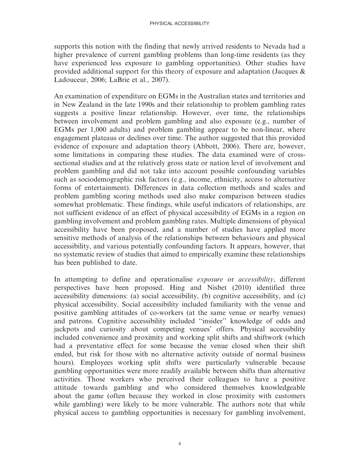supports this notion with the finding that newly arrived residents to Nevada had a higher prevalence of current gambling problems than long-time residents (as they have experienced less exposure to gambling opportunities). Other studies have provided additional support for this theory of exposure and adaptation (Jacques & Ladouceur, 2006; LaBrie et al., 2007).

An examination of expenditure on EGMs in the Australian states and territories and in New Zealand in the late 1990s and their relationship to problem gambling rates suggests a positive linear relationship. However, over time, the relationships between involvement and problem gambling and also exposure (e.g., number of EGMs per 1,000 adults) and problem gambling appear to be non-linear, where engagement plateaus or declines over time. The author suggested that this provided evidence of exposure and adaptation theory (Abbott, 2006). There are, however, some limitations in comparing these studies. The data examined were of crosssectional studies and at the relatively gross state or nation level of involvement and problem gambling and did not take into account possible confounding variables such as sociodemographic risk factors (e.g., income, ethnicity, access to alternative forms of entertainment). Differences in data collection methods and scales and problem gambling scoring methods used also make comparison between studies somewhat problematic. These findings, while useful indicators of relationships, are not sufficient evidence of an effect of physical accessibility of EGMs in a region on gambling involvement and problem gambling rates. Multiple dimensions of physical accessibility have been proposed, and a number of studies have applied more sensitive methods of analysis of the relationships between behaviours and physical accessibility, and various potentially confounding factors. It appears, however, that no systematic review of studies that aimed to empirically examine these relationships has been published to date.

In attempting to define and operationalise *exposure* or *accessibility*, different perspectives have been proposed. Hing and Nisbet (2010) identified three accessibility dimensions: (a) social accessibility, (b) cognitive accessibility, and (c) physical accessibility. Social accessibility included familiarity with the venue and positive gambling attitudes of co-workers (at the same venue or nearby venues) and patrons. Cognitive accessibility included ''insider'' knowledge of odds and jackpots and curiosity about competing venues' offers. Physical accessibility included convenience and proximity and working split shifts and shiftwork (which had a preventative effect for some because the venue closed when their shift ended, but risk for those with no alternative activity outside of normal business hours). Employees working split shifts were particularly vulnerable because gambling opportunities were more readily available between shifts than alternative activities. Those workers who perceived their colleagues to have a positive attitude towards gambling and who considered themselves knowledgeable about the game (often because they worked in close proximity with customers while gambling) were likely to be more vulnerable. The authors note that while physical access to gambling opportunities is necessary for gambling involvement,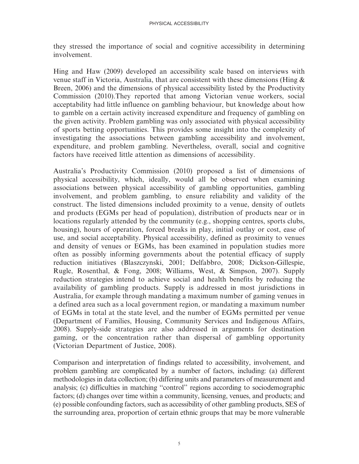they stressed the importance of social and cognitive accessibility in determining involvement.

Hing and Haw (2009) developed an accessibility scale based on interviews with venue staff in Victoria, Australia, that are consistent with these dimensions (Hing & Breen, 2006) and the dimensions of physical accessibility listed by the Productivity Commission (2010).They reported that among Victorian venue workers, social acceptability had little influence on gambling behaviour, but knowledge about how to gamble on a certain activity increased expenditure and frequency of gambling on the given activity. Problem gambling was only associated with physical accessibility of sports betting opportunities. This provides some insight into the complexity of investigating the associations between gambling accessibility and involvement, expenditure, and problem gambling. Nevertheless, overall, social and cognitive factors have received little attention as dimensions of accessibility.

Australia's Productivity Commission (2010) proposed a list of dimensions of physical accessibility, which, ideally, would all be observed when examining associations between physical accessibility of gambling opportunities, gambling involvement, and problem gambling, to ensure reliability and validity of the construct. The listed dimensions included proximity to a venue, density of outlets and products (EGMs per head of population), distribution of products near or in locations regularly attended by the community (e.g., shopping centres, sports clubs, housing), hours of operation, forced breaks in play, initial outlay or cost, ease of use, and social acceptability. Physical accessibility, defined as proximity to venues and density of venues or EGMs, has been examined in population studies more often as possibly informing governments about the potential efficacy of supply reduction initiatives (Blaszczynski, 2001; Delfabbro, 2008; Dickson-Gillespie, Rugle, Rosenthal, & Fong, 2008; Williams, West, & Simpson, 2007). Supply reduction strategies intend to achieve social and health benefits by reducing the availability of gambling products. Supply is addressed in most jurisdictions in Australia, for example through mandating a maximum number of gaming venues in a defined area such as a local government region, or mandating a maximum number of EGMs in total at the state level, and the number of EGMs permitted per venue (Department of Families, Housing, Community Services and Indigenous Affairs, 2008). Supply-side strategies are also addressed in arguments for destination gaming, or the concentration rather than dispersal of gambling opportunity (Victorian Department of Justice, 2008).

Comparison and interpretation of findings related to accessibility, involvement, and problem gambling are complicated by a number of factors, including: (a) different methodologies in data collection; (b) differing units and parameters of measurement and analysis; (c) difficulties in matching ''control'' regions according to sociodemographic factors; (d) changes over time within a community, licensing, venues, and products; and (e) possible confounding factors, such as accessibility of other gambling products, SES of the surrounding area, proportion of certain ethnic groups that may be more vulnerable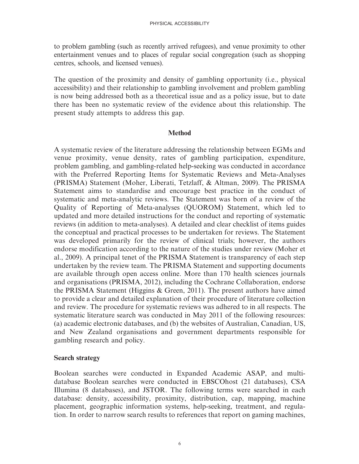to problem gambling (such as recently arrived refugees), and venue proximity to other entertainment venues and to places of regular social congregation (such as shopping centres, schools, and licensed venues).

The question of the proximity and density of gambling opportunity (i.e., physical accessibility) and their relationship to gambling involvement and problem gambling is now being addressed both as a theoretical issue and as a policy issue, but to date there has been no systematic review of the evidence about this relationship. The present study attempts to address this gap.

#### Method

A systematic review of the literature addressing the relationship between EGMs and venue proximity, venue density, rates of gambling participation, expenditure, problem gambling, and gambling-related help-seeking was conducted in accordance with the Preferred Reporting Items for Systematic Reviews and Meta-Analyses (PRISMA) Statement (Moher, Liberati, Tetzlaff, & Altman, 2009). The PRISMA Statement aims to standardise and encourage best practice in the conduct of systematic and meta-analytic reviews. The Statement was born of a review of the Quality of Reporting of Meta-analyses (QUOROM) Statement, which led to updated and more detailed instructions for the conduct and reporting of systematic reviews (in addition to meta-analyses). A detailed and clear checklist of items guides the conceptual and practical processes to be undertaken for reviews. The Statement was developed primarily for the review of clinical trials; however, the authors endorse modification according to the nature of the studies under review (Moher et al., 2009). A principal tenet of the PRISMA Statement is transparency of each step undertaken by the review team. The PRISMA Statement and supporting documents are available through open access online. More than 170 health sciences journals and organisations (PRISMA, 2012), including the Cochrane Collaboration, endorse the PRISMA Statement (Higgins & Green, 2011). The present authors have aimed to provide a clear and detailed explanation of their procedure of literature collection and review. The procedure for systematic reviews was adhered to in all respects. The systematic literature search was conducted in May 2011 of the following resources: (a) academic electronic databases, and (b) the websites of Australian, Canadian, US, and New Zealand organisations and government departments responsible for gambling research and policy.

#### Search strategy

Boolean searches were conducted in Expanded Academic ASAP, and multidatabase Boolean searches were conducted in EBSCOhost (21 databases), CSA Illumina (8 databases), and JSTOR. The following terms were searched in each database: density, accessibility, proximity, distribution, cap, mapping, machine placement, geographic information systems, help-seeking, treatment, and regulation. In order to narrow search results to references that report on gaming machines,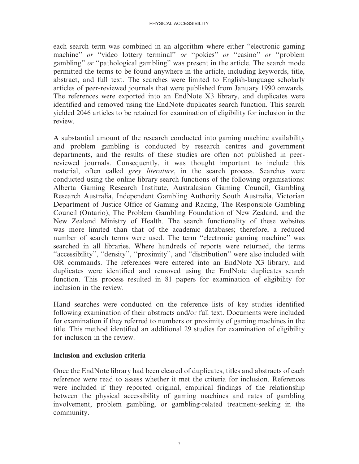each search term was combined in an algorithm where either ''electronic gaming machine" or "video lottery terminal" or "pokies" or "casino" or "problem gambling'' or ''pathological gambling'' was present in the article. The search mode permitted the terms to be found anywhere in the article, including keywords, title, abstract, and full text. The searches were limited to English-language scholarly articles of peer-reviewed journals that were published from January 1990 onwards. The references were exported into an EndNote X3 library, and duplicates were identified and removed using the EndNote duplicates search function. This search yielded 2046 articles to be retained for examination of eligibility for inclusion in the review.

A substantial amount of the research conducted into gaming machine availability and problem gambling is conducted by research centres and government departments, and the results of these studies are often not published in peerreviewed journals. Consequently, it was thought important to include this material, often called *grey literature*, in the search process. Searches were conducted using the online library search functions of the following organisations: Alberta Gaming Research Institute, Australasian Gaming Council, Gambling Research Australia, Independent Gambling Authority South Australia, Victorian Department of Justice Office of Gaming and Racing, The Responsible Gambling Council (Ontario), The Problem Gambling Foundation of New Zealand, and the New Zealand Ministry of Health. The search functionality of these websites was more limited than that of the academic databases; therefore, a reduced number of search terms were used. The term ''electronic gaming machine'' was searched in all libraries. Where hundreds of reports were returned, the terms "accessibility", "density", "proximity", and "distribution" were also included with OR commands. The references were entered into an EndNote X3 library, and duplicates were identified and removed using the EndNote duplicates search function. This process resulted in 81 papers for examination of eligibility for inclusion in the review.

Hand searches were conducted on the reference lists of key studies identified following examination of their abstracts and/or full text. Documents were included for examination if they referred to numbers or proximity of gaming machines in the title. This method identified an additional 29 studies for examination of eligibility for inclusion in the review.

#### Inclusion and exclusion criteria

Once the EndNote library had been cleared of duplicates, titles and abstracts of each reference were read to assess whether it met the criteria for inclusion. References were included if they reported original, empirical findings of the relationship between the physical accessibility of gaming machines and rates of gambling involvement, problem gambling, or gambling-related treatment-seeking in the community.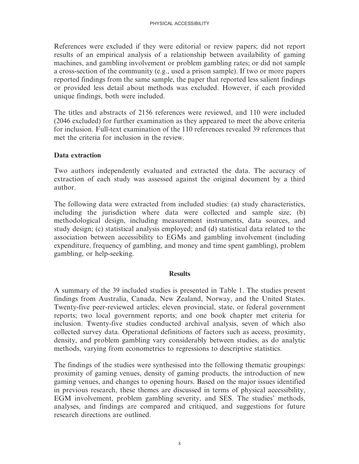References were excluded if they were editorial or review papers; did not report results of an empirical analysis of a relationship between availability of gaming machines, and gambling involvement or problem gambling rates; or did not sample a cross-section of the community (e.g., used a prison sample). If two or more papers reported findings from the same sample, the paper that reported less salient findings or provided less detail about methods was excluded. However, if each provided unique findings, both were included.

The titles and abstracts of 2156 references were reviewed, and 110 were included (2046 excluded) for further examination as they appeared to meet the above criteria for inclusion. Full-text examination of the 110 references revealed 39 references that met the criteria for inclusion in the review.

# Data extraction

Two authors independently evaluated and extracted the data. The accuracy of extraction of each study was assessed against the original document by a third author.

The following data were extracted from included studies: (a) study characteristics, including the jurisdiction where data were collected and sample size; (b) methodological design, including measurement instruments, data sources, and study design; (c) statistical analysis employed; and (d) statistical data related to the association between accessibility to EGMs and gambling involvement (including expenditure, frequency of gambling, and money and time spent gambling), problem gambling, or help-seeking.

#### **Results**

A summary of the 39 included studies is presented in Table 1. The studies present findings from Australia, Canada, New Zealand, Norway, and the United States. Twenty-five peer-reviewed articles; eleven provincial, state, or federal government reports; two local government reports; and one book chapter met criteria for inclusion. Twenty-five studies conducted archival analysis, seven of which also collected survey data. Operational definitions of factors such as access, proximity, density, and problem gambling vary considerably between studies, as do analytic methods, varying from econometrics to regressions to descriptive statistics.

The findings of the studies were synthesised into the following thematic groupings: proximity of gaming venues, density of gaming products, the introduction of new gaming venues, and changes to opening hours. Based on the major issues identified in previous research, these themes are discussed in terms of physical accessibility, EGM involvement, problem gambling severity, and SES. The studies' methods, analyses, and findings are compared and critiqued, and suggestions for future research directions are outlined.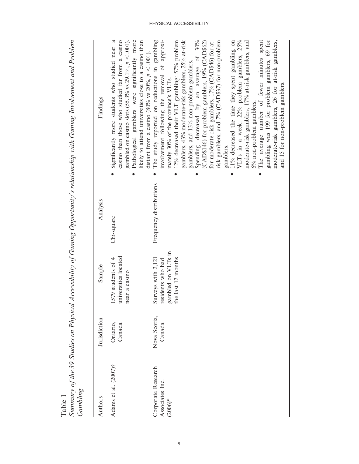| Summary of the 39 Studies on Physical<br>Gambling<br>Table 1 |                        |                                                                                     |                         | Accessibility of Gaming Opportunity's relationship with Gaming Involvement and Problem                                                                                                                                                                                                                                                                                                                                                                                                                                                                                                                                                                                                                                                                                                                                                     |
|--------------------------------------------------------------|------------------------|-------------------------------------------------------------------------------------|-------------------------|--------------------------------------------------------------------------------------------------------------------------------------------------------------------------------------------------------------------------------------------------------------------------------------------------------------------------------------------------------------------------------------------------------------------------------------------------------------------------------------------------------------------------------------------------------------------------------------------------------------------------------------------------------------------------------------------------------------------------------------------------------------------------------------------------------------------------------------------|
| Authors                                                      | Jurisdiction           | Sample                                                                              | Analysis                | Findings                                                                                                                                                                                                                                                                                                                                                                                                                                                                                                                                                                                                                                                                                                                                                                                                                                   |
| Adams et al. (2007)†                                         | Ontario,<br>Canada     | universities located<br>579 students of 4<br>near a casino                          | Chi-square              | likely to attend universities close to a casino than<br>Pathological gamblers were significantly more<br>casino than those who studied far from a casino<br>gambled on casino slots (55.3% vs 29.1%, $p < .001$ ).<br>Significantly more students who studied near a<br>distant from a casino (80% vs $20\%$ , $p < .001$ ).                                                                                                                                                                                                                                                                                                                                                                                                                                                                                                               |
| Corporate Research<br>Associates Inc.<br>$(2006)*$           | Nova Scotia,<br>Canada | gambled on VLTs in<br>the last 12 months<br>Surveys with 2,121<br>residents who had | Frequency distributions | gambling was 199 for problem gamblers, 69 for<br>The study reported on reductions in gambling<br>gamblers, 43% moderate-risk gamblers, 25% at-risk<br>for moderate-risk gamblers, 17% (CAD\$46) for at-<br>involvement following the removal of approxi-<br>Spending decreased by an average of 30%<br>risk gamblers, and 7% (CAD\$37) for non-problem<br>11% decreased the time they spent gambling on<br>VLTs in a week: 22% problem gamblers, 25%<br>moderate-risk gamblers, 26 for at-risk gamblers,<br>(CAD\$146) for problem gamblers, 19% (CAD\$62)<br>moderate-risk gamblers, 17% at-risk gamblers, and<br>The average number of fewer minutes spent<br>12% decreased their VLT gambling: $57\%$ problem<br>gamblers, and 13% non-problem gamblers.<br>mately 30% of the province's VLTs.<br>6% non-problem gamblers.<br>gamblers. |
|                                                              |                        |                                                                                     |                         | and 15 for non-problem gamblers.                                                                                                                                                                                                                                                                                                                                                                                                                                                                                                                                                                                                                                                                                                                                                                                                           |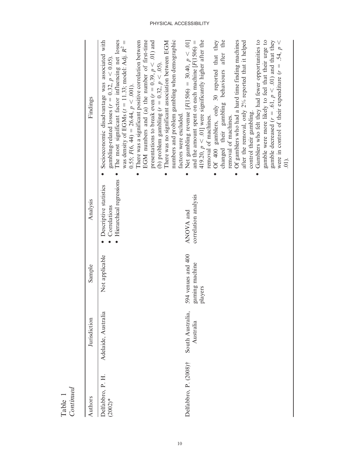| Authors                       | Jurisdiction                  | Sample                                          | Analysis                                                           | Findings                                                                                                                                                                                                                                                                                                                                                                                                                                                                                                                                                                                                                                                                                                                          |
|-------------------------------|-------------------------------|-------------------------------------------------|--------------------------------------------------------------------|-----------------------------------------------------------------------------------------------------------------------------------------------------------------------------------------------------------------------------------------------------------------------------------------------------------------------------------------------------------------------------------------------------------------------------------------------------------------------------------------------------------------------------------------------------------------------------------------------------------------------------------------------------------------------------------------------------------------------------------|
| Delfabbro, P. H.<br>$(2002)*$ | Adelaide, Australia           | Not applicable                                  | Hierarchical regressions<br>Descriptive statistics<br>Correlations | Socioeconomic disadvantage was associated with<br>The most significant factor influencing net losses<br>was density of EGMs ( $t = 11.33$ ; model: Adj. $R^2 =$<br>There was a significant positive correlation between<br>EGM numbers and (a) the number of first-time<br>presentations to break even ( $r = 0.39$ , $p < .01$ ) and<br>There was no significant association between EGM<br>numbers and problem gambling when demographic<br>gambling-related losses ( $r = 0.32$ , $p < 0.05$ ).<br>(b) problem gambling $(r = 0.32, p < .05)$ .<br>$0.55; F(6, 44) = 26.44, p < .001$ .                                                                                                                                        |
| Delfabbro, P. (2008)†         | South Australia,<br>Australia | 594 venues and 400<br>gaming machine<br>players | correlation analysis<br>ANOVA and                                  | Net gambling revenue [F(1506) = 30.40, $p < .01$ ]<br>and the amount spent on each machine $[F(1506) =$<br>419.20, $p < .01$ ] were significantly higher after the<br>Of 400 gamblers, only 30 reported that they<br>changed their gambling behaviours after the<br>Of gamblers who had a hard time finding machines<br>after the removal, only 2% reported that it helped<br>Gamblers who felt they had fewer opportunities to<br>gamble were more likely to feel that their urge to<br>gamble decreased ( $r = .61$ , $p < .01$ ) and that they<br>were in control of their expenditure $(r = .54, p <$<br>control their gambling.<br>factors were excluded.<br>removal of machines.<br>removal of machines.<br>$\widehat{\Xi}$ |

Table 1 Continued

 $\mathcal{L}$ 

i.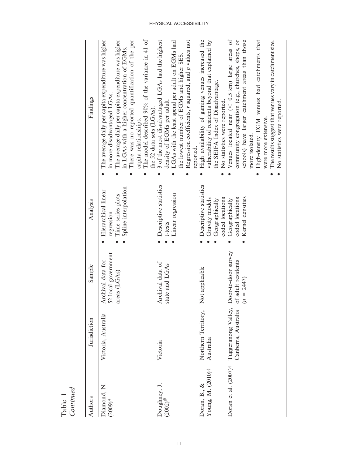| Authors                           | Jurisdiction                               | Sample                                                    | Analysis                                                                       | Findings                                                                                                                                                                                                                                                                                                                                              |
|-----------------------------------|--------------------------------------------|-----------------------------------------------------------|--------------------------------------------------------------------------------|-------------------------------------------------------------------------------------------------------------------------------------------------------------------------------------------------------------------------------------------------------------------------------------------------------------------------------------------------------|
| Diamond, N.<br>$(2009)*$          | Victoria, Australia                        | 52 local government<br>Archival data for<br>areas (LGAs)  | Spline interpolation<br>Hierarchical linear<br>Time series plots<br>regression | The model described 90% of the variance in 41 of<br>The average daily per capita expenditure was higher<br>There was no reported quantification of the per<br>The average daily per capita expenditure was higher<br>in LGAs with a higher concentration of EGMs.<br>in more disadvantaged LGAs.<br>the 52 data sets (LGAs).<br>capita relationships. |
| Doughney, J.<br>$(2002)^{*}$      | Victoria                                   | Archival data of<br>state and LGAs                        | Descriptive statistics<br>Linear regression<br>t-tests                         | Regression coefficients, $r$ squared, and $p$ values not<br>3 of the most disadvantaged LGAs had the highest<br>LGAs with the least spend per adult on EGMs had<br>the lowest number of EGMs and higher SES.<br>density of EGMs per adult.<br>reported.                                                                                               |
| Young, M. (2010)†<br>Doran, B., & | Northern Territory,<br>Australia           | Not applicable                                            | Descriptive statistics<br>Gravity models<br>coded locations<br>Geographically  | High availability of gaming venues increased the<br>vulnerability of residents beyond that explained by<br>the SEIFA Index of Disadvantage.<br>No statistics were reported                                                                                                                                                                            |
| Doran et al. (2007)†              | Tuggeranong Valley,<br>Canberra, Australia | Door-to-door survey<br>of adult residents<br>$(n = 2447)$ | Kernel densities<br>coded locations<br>Geographically                          | community congregation (e.g., churches, shops, or<br>schools) have larger catchment areas than those<br>Venues located near ( $<$ 0.5 km) large areas of<br>High-density EGM venues had catchments that<br>The results suggest that venues vary in catchment size.<br>No statistics were reported.<br>were more extensive.<br>more isolated           |

Table 1 Continued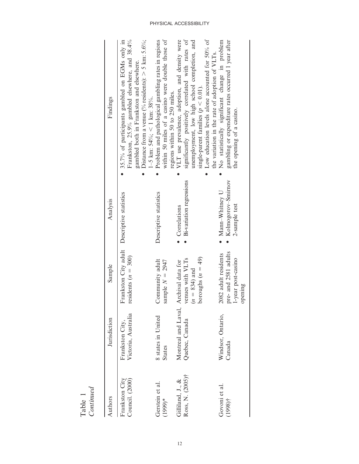| Continued<br>Table 1                 |                                        |                                                                             |                                                                    |                                                                                                                                                                                                                                                                                                     |
|--------------------------------------|----------------------------------------|-----------------------------------------------------------------------------|--------------------------------------------------------------------|-----------------------------------------------------------------------------------------------------------------------------------------------------------------------------------------------------------------------------------------------------------------------------------------------------|
| Authors                              | Jurisdiction                           | Sample                                                                      | Analysis                                                           | Findings                                                                                                                                                                                                                                                                                            |
| Council. (2000)<br>Frankston City    | Victoria, Australia<br>Frankston City, | Frankston City adult<br>residents $(n = 300)$                               | Descriptive statistics                                             | Frankston, 25.9% gambled elsewhere, and 38.4%<br>Distance from a venue (% residents): $>$ 5 km: 5.6%;<br>35.7% of participants gambled on EGMs only in<br>gambled both in Frankston and elsewhere.<br>$1-5$ km: $54\%$ ; < 1 km: 38%.                                                               |
| Gerstein et al.<br>$(1999)*$         | 8 states in United<br><b>States</b>    | Community adult<br>sample $N = 2947$                                        | Descriptive statistics                                             | within 50 miles of a casino were double those of<br>Problem and pathological gambling rates in regions<br>regions within 50 to 250 miles.                                                                                                                                                           |
| Ross, N. (2005)†<br>Gilliland, J., & | Montreal and Laval,<br>Quebec, Canada  | $\arccos(n = 49)$<br>renues with VLTs<br>Archival data for<br>$n = 834$ and | Bi-variation regressions<br>• Correlations                         | Low education levels alone accounted for 50% of<br>significantly positively correlated with rates of<br>VLT use prevalence, adoption, and density were<br>unemployment, low high school completion, and<br>the variation in the rate of adoption of VLTs.<br>single-parent families ( $p < 0.01$ ). |
| Govoni et al.<br>$(1998)$ †          | Windsor, Ontario,<br>Canada            | pre-and 2581 adults<br>2082 adult residents<br>-year post-casino<br>pening  | Kolmogorov-Smirnov<br>Mann-Whitney U<br>2-sample test<br>$\bullet$ | No statistically significant change in problem<br>gambling or expenditure rates occurred 1 year after<br>the opening of a casino.                                                                                                                                                                   |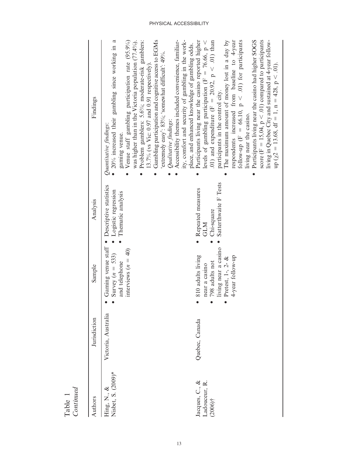| Continued<br>Table 1                          |                     |                                                                                                                                                                |                                                                        |                                                                                                                                                                                                                                                                                                                                                                                                                                                                                                                                                                                                                                                                       |
|-----------------------------------------------|---------------------|----------------------------------------------------------------------------------------------------------------------------------------------------------------|------------------------------------------------------------------------|-----------------------------------------------------------------------------------------------------------------------------------------------------------------------------------------------------------------------------------------------------------------------------------------------------------------------------------------------------------------------------------------------------------------------------------------------------------------------------------------------------------------------------------------------------------------------------------------------------------------------------------------------------------------------|
| Authors                                       | Jurisdiction        | Sample                                                                                                                                                         | Analysis                                                               | Findings                                                                                                                                                                                                                                                                                                                                                                                                                                                                                                                                                                                                                                                              |
| Nisbet, S. (2009)*<br>Hing, N., &             | Victoria, Australia | Gaming venue staff<br>interviews $(n = 40)$<br>Survey $(n = 533)$<br>and telephone<br>$\bullet$                                                                | Descriptive statistics<br>Logistic regression<br>Thematic analysis     | Gambling participation and cognitive access to EGMs<br>Accessibility themes included convenience, familiar-<br>$\bullet$ 20% increased their gambling since working in a<br>was higher than in the Victoria population (77.4%).<br>Problem gamblers: 5.6%; moderate-risk gamblers:<br>Venue staff gambling participation rate (95.9%)<br>extremely easy': 83%; 'somewhat difficult': 49%.<br>13.7% (vs Vic: $0.97$ and $0.91$ respectively).<br>Qualitative findings:<br>Quantitative findings:<br>gaming venue.                                                                                                                                                      |
| Jacques, C., &<br>Ladouceur, R.<br>$(2006)$ † | Quebec, Canada      | living near a casino<br>810 adults living<br>4-year follow-up<br>Pretest, 1-, 2- $&$<br>798 adults not<br>near a casino<br>$\bullet$<br>$\bullet$<br>$\bullet$ | Satterthwaite F Tests<br>Repeated measures<br>Chi-square<br><b>GLM</b> | ity, comfort and security of gambling in the work-<br>.01) and expenditure (F = 20.92, p < .01) than<br>The maximum amount of money lost in a day by<br>respondents increased from baseline to 4-year<br>Participants living near the casino had higher SOGS<br>score (F = 15,04, $p < .01$ ) compared to participants<br>Participants living near the casino reported higher<br>living in Quebec City and sustained at 4-year follow-<br>follow-up (F = 66.10, $p < .01$ ) for participants<br>levels of gambling participation (F = 76.66, $p <$<br>place, and enhanced knowledge of gambling odds.<br>participants in the control city.<br>living near the casino. |
|                                               |                     |                                                                                                                                                                |                                                                        | $up (x2 = 13.68, df = 1, n = 428, p < .01)$ .                                                                                                                                                                                                                                                                                                                                                                                                                                                                                                                                                                                                                         |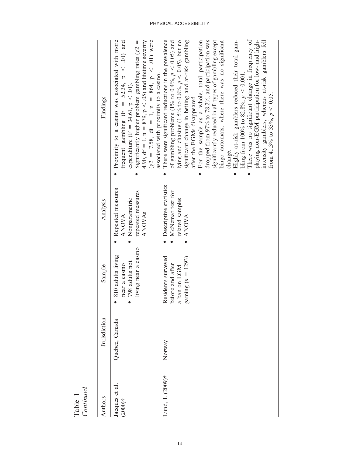| Continued<br>Table 1         |                |                                                                               |                                                                                          |                                                                                                                                                                                                                                                                                                                                                                                                                                                                                                                                                                                                                                                                                                                                                                                   |
|------------------------------|----------------|-------------------------------------------------------------------------------|------------------------------------------------------------------------------------------|-----------------------------------------------------------------------------------------------------------------------------------------------------------------------------------------------------------------------------------------------------------------------------------------------------------------------------------------------------------------------------------------------------------------------------------------------------------------------------------------------------------------------------------------------------------------------------------------------------------------------------------------------------------------------------------------------------------------------------------------------------------------------------------|
| Authors                      | Jurisdiction   | Sample                                                                        | Analysis                                                                                 | Findings                                                                                                                                                                                                                                                                                                                                                                                                                                                                                                                                                                                                                                                                                                                                                                          |
| Jacques et al.<br>$(2000)$ † | Quebec, Canada | living near a casino<br>810 adults living<br>798 adults not<br>near a casino  | Repeated measures<br>repeated measures<br>Nonparametric<br><b>ANOVAS</b><br><b>ANOVA</b> | Proximity to a casino was associated with more<br>4.90, df = 1, n = 879, p < .05) and lifetime severity<br>( $\chi$ 2 = 7.58, df = 1, n = 864, p < .01) were<br>frequent gambling (F = 52.34, $p < .01$ ) and<br>Significantly higher problem gambling rates $(\chi^2 =$<br>associated with proximity to a casino.<br>expenditure (F = 34.61, p < .01).                                                                                                                                                                                                                                                                                                                                                                                                                           |
| Lund, I. (2009)†             | Norway         | Residents surveyed<br>gaming $(n = 1293)$<br>before and after<br>a ban on EGM | • Descriptive statistics<br>McNemar test for<br>related samples<br><b>ANOVA</b>          | lying and chasing (1.5% to 0.8%, $p < 0.05$ ), but no<br>There were significant reductions in the prevalence<br>significant change in betting and at-risk gambling<br>For the sample as a whole, total participation<br>Highly at-risk gamblers reduced their total gam-<br>There was no significant change in frequency of<br>of gambling problems (1% to 0.4%, $p < 0.05$ ) and<br>significantly reduced in all types of gambling except<br>playing non-EGM participation for low- and high-<br>dropped from 97% to 78.2%, and participation was<br>bingo automats, where there was no significant<br>intensity gamblers, whereas at-risk gamblers fell<br>bling from 100% to 82.8%, $p < 0.001$ .<br>from 41.3% to 33%, $p < 0.05$ .<br>after the EGMs disappeared.<br>change. |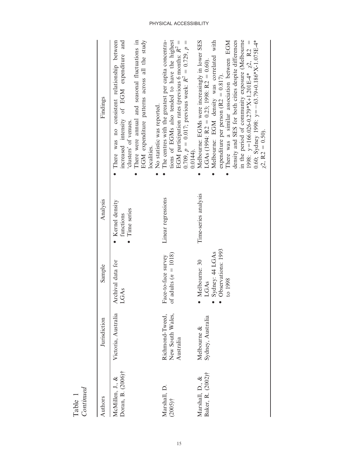| Continued<br>Table 1                 |                                                  |                                                                                                                  |                                              |                                                                                                                                                                                                                                                                                                                                                                                                                                                                                            |
|--------------------------------------|--------------------------------------------------|------------------------------------------------------------------------------------------------------------------|----------------------------------------------|--------------------------------------------------------------------------------------------------------------------------------------------------------------------------------------------------------------------------------------------------------------------------------------------------------------------------------------------------------------------------------------------------------------------------------------------------------------------------------------------|
| Authors                              | Jurisdiction                                     | Sample                                                                                                           | Analysis                                     | Findings                                                                                                                                                                                                                                                                                                                                                                                                                                                                                   |
| Doran, B. (2006)†<br>McMillen, J., & | Victoria, Australia                              | Archival data for<br>LGAs                                                                                        | Kernel density<br>• Time series<br>functions | There was no consistent relationship between<br>increased intensity of EGM expenditure and<br>There were annual and seasonal fluctuations in<br>EGM expenditure patterns across all the study<br>No statistic was reported.<br>'clusters' of venues.<br>localities.                                                                                                                                                                                                                        |
| Marshall, D.<br>$(2005)$ †           | New South Wales,<br>Richmond-Tweed,<br>Australia | of adults $(n = 1018)$<br>Face-to-face survey                                                                    | Linear regressions                           | The centres with the greatest per capita concentra-<br>tions of EGMs also tended to have the highest<br>0.709, $p = 0.017$ ; previous week: $R^2 = 0.729$ , $p =$<br>EGM participation rates (previous 6 months: $R^2$ =<br>$0.0144$ .                                                                                                                                                                                                                                                     |
| Baker, R. (2002)†<br>Marshall, D., & | Sydney, Australia<br>Melbourne &                 | Observations: 1993<br>Sydney: 44 LGAs<br>Melbourne: 30<br>to 1998<br>LGAS<br>$\bullet$<br>$\bullet$<br>$\bullet$ | Time-series analysis                         | Melbourne: EGMs were increasingly in lower SES<br>Melbourne: EGM density was correlated with<br>There was a similar association between EGM<br>density and SES for both cities despite differences<br>in the period of community exposure (Melbourne<br>$0.60$ ; Sydney 1998: $y = -63.79 + 0.186$ *X-1.075E-4*<br>1998: $y=166.026-0.279*K+1.201E-4*K$ $\chi^2$ , R2 =<br>$LGAs$ (1994: R2 = 0.23; 1998: R2 = 0.60).<br>expenditure per person ( $R2 = 0.817$ ).<br>$\chi$ 2, R2 = 0.50). |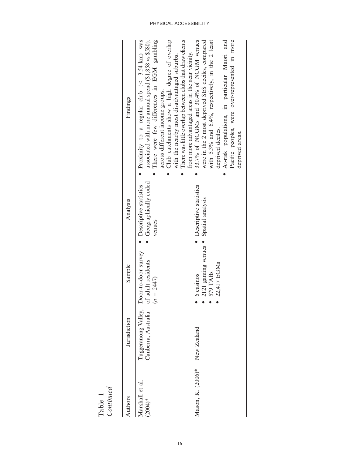| Continued<br>Table 1        |                                            |                                                                               |                                                          |                                                                                                                                                                                                                                                                                                                                                         |
|-----------------------------|--------------------------------------------|-------------------------------------------------------------------------------|----------------------------------------------------------|---------------------------------------------------------------------------------------------------------------------------------------------------------------------------------------------------------------------------------------------------------------------------------------------------------------------------------------------------------|
| Authors                     | Jurisdiction                               | Sample                                                                        | Analysis                                                 | Findings                                                                                                                                                                                                                                                                                                                                                |
| Marshall et al<br>$(2004)*$ | Tuggeranong Valley,<br>Canberra, Australia | Door-to-door survey<br>of adult residents<br>$(n = 2447)$                     | Geographically coded<br>Descriptive statistics<br>venues | Proximity to a regular club ( $\leq$ 3.54 km) was<br>associated with more annual spend (\$1,858 vs \$580).<br>There were few differences in EGM gambling<br>Club catchments show a high degree of overlap<br>There was little overlap between clubs that draw clients<br>with the nearby most disadvantaged suburbs.<br>across different income groups. |
| Mason, K. (2006)*           | New Zealand                                | 6 casinos<br>$\bullet$                                                        | Descriptive statistics                                   | 33.7% of NCGMs and 30.4% of NCGM venues<br>from more advantaged areas in the near vicinity.                                                                                                                                                                                                                                                             |
|                             |                                            | 2121 gaming venues · Spatial analysis<br>22,417 EGMs<br>579 TABs<br>$\bullet$ |                                                          | were in the 2 most deprived SES deciles, compared<br>with 5.3% and 6.4%, respectively, in the 2 least<br>At-risk populations, in particular Maori and<br>Pacific peoples, were over-represented in more<br>deprived deciles.<br>deprived areas.                                                                                                         |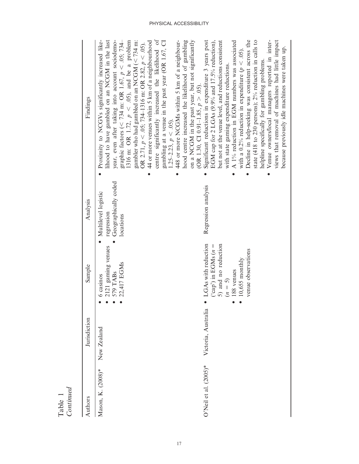| Authors                  | Jurisdiction        | Sample                                                                                                                                    | Analysis                                                               | Findings                                                                                                                                                                                                                                                                                                                                                                                                                                                                                                                                                                                                                                                                                                                                                    |
|--------------------------|---------------------|-------------------------------------------------------------------------------------------------------------------------------------------|------------------------------------------------------------------------|-------------------------------------------------------------------------------------------------------------------------------------------------------------------------------------------------------------------------------------------------------------------------------------------------------------------------------------------------------------------------------------------------------------------------------------------------------------------------------------------------------------------------------------------------------------------------------------------------------------------------------------------------------------------------------------------------------------------------------------------------------------|
| Mason, K. (2008)*        | New Zealand         | 2121 gaming venues<br>22,417 EGMs<br>579 TABs<br>6 casinos                                                                                | Geographically coded<br>Multilevel logistic<br>regression<br>locations | centre significantly increased the likelihood of<br>graphic factors (< 734 m: OR 1.67, $p$ < .05; 734–<br>Proximity to NCGVs significantly increased like-<br>lihood to have gambled on an NCGM in the last<br>1316 m: OR 1.72, $p < .05$ ), and be a problem<br>gambler who had gambled on an NCGM ( $\lt$ 734 m:<br>44 or more venues within 5 km of a neighbourhood<br>448 or more NCGMs within 5 km of a neighbour-<br>hood centre increased the likelihood of gambling<br>year, even after taking into account sociodemo-<br>gambling at a venue in the past year (OR 1.67, CI<br>OR 2.71, $p < .05$ ; 734-1316 m: OR 2.82, $p < .05$ ).<br>$1.25-2.23, p < .05$ ).                                                                                    |
| O'Neil et al. $(2005)^*$ | Victoria, Australia | LGAs with reduction<br>5) and no reduction<br>('cap') in EGMs $(n =$<br>venue observations<br>$10,655$ monthly<br>188 venues<br>$(n = 5)$ | Regression analysis                                                    | Decline in help-seeking was consistent across the<br>on a NCGM in the past year, but not significantly<br>EGM cap for 2 LGAs (9.9% and 17.5% reduction),<br>state $(418 \text{ to } 230 \text{ persons})$ ; $2\%$ reduction in calls to<br>Venue owners/local managers reported in inter-<br>Significant reductions in expenditure 3 years post<br>but not at the venue level, and reductions consistent<br>A 1% reduction in EGM numbers was associated<br>views that removal of machines had little impact<br>because previously idle machines were taken up.<br>with a 0.2% reduction in expenditure ( $p < .05$ ).<br>helpline specifically for gambling problems.<br>with state gaming expenditure reductions.<br>(OR 1.30, CI 0.91-1.85, $p > .05$ ). |

Table 1 Continued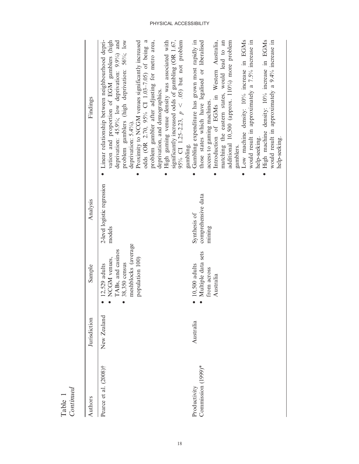| Authors                            | Jurisdiction | Sample                                                                                                          | Analysis                                     | Findings                                                                                                                                                                                                                                                                                                                                                                                                                                                                                                                                                                        |
|------------------------------------|--------------|-----------------------------------------------------------------------------------------------------------------|----------------------------------------------|---------------------------------------------------------------------------------------------------------------------------------------------------------------------------------------------------------------------------------------------------------------------------------------------------------------------------------------------------------------------------------------------------------------------------------------------------------------------------------------------------------------------------------------------------------------------------------|
| Pearce et al. (2008)†              | New Zealand  | meshblocks (average<br>TABs, and casinos<br>NCGM venues,<br>population 100)<br>38,350 census<br>$12,529$ adults | 2-level logistic regression<br>models        | problem gambler after adjusting for metro area,<br>vation and proportion of EGM gamblers (high<br>problem gamblers (high deprivation: 56%; low<br>95% CI 1.25-2.23, $p \leq .05$ but not problem<br>deprivation: $45.9\%$ ; low deprivation: $9.9\%$ and<br>Proximity to NCGM venues significantly increased<br>odds (OR 2.70, 95% CI 1.03-7.05) of being a<br>High gaming venue density was associated with<br>significantly increased odds of gambling (OR 1.67,<br>Linear relationship between neighbourhood depri-<br>deprivation, and demographics.<br>deprivation: 5.4%). |
| Commission (1999)*<br>Productivity | Australia    | Multiple data sets<br>$10,500$ adults<br>from across<br>Australia                                               | comprehensive data<br>Synthesis of<br>mining | Introduction of EGMs in Western Australia,<br>Low machine density: 10% increase in EGMs<br>High machine density: 10% increase in EGMs<br>matching the eastern states, would lead to an<br>additional 10,500 (approx. 110%) more problem<br>would result in approximately a 9.4% increase in<br>Gambling expenditure has grown most rapidly in<br>those states which have legalised or liberalised<br>would result in approximately a 7.5% increase in<br>access to gaming machines.<br>help-seeking.<br>help-seeking.<br>gambling.<br>gamblers.                                 |

Table 1 Continued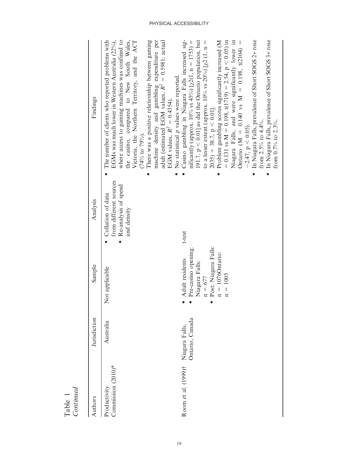| Continued<br>Table                 |                                   |                                                                                                                                    |                                                                                    |                                                                                                                                                                                                                                                                                                                                                                                                                                                                                                                                                                                                                                                                                                |
|------------------------------------|-----------------------------------|------------------------------------------------------------------------------------------------------------------------------------|------------------------------------------------------------------------------------|------------------------------------------------------------------------------------------------------------------------------------------------------------------------------------------------------------------------------------------------------------------------------------------------------------------------------------------------------------------------------------------------------------------------------------------------------------------------------------------------------------------------------------------------------------------------------------------------------------------------------------------------------------------------------------------------|
| Authors                            | Jurisdiction                      | Sample                                                                                                                             | Analysis                                                                           | Findings                                                                                                                                                                                                                                                                                                                                                                                                                                                                                                                                                                                                                                                                                       |
| Commission (2010)*<br>Productivity | Australia                         | Not applicable                                                                                                                     | from different sources<br>Re-analysis of spend<br>Collation of data<br>and density | EGMs was much lower in Western Australia (22%),<br>where access to gaming machines was confined to<br>There was a positive relationship between gaming<br>the casino, compared to New South Wales,<br>Victoria, the Northern Territory, and the ACT<br>machine density and gambling expenditure per<br>The number of clients who reported problems with<br>adult (estimated EGM values, $R^2 = 0.5981$ ; actual<br>No statistical p values were reported.<br>EGM values, $R^2 = 0.4354$ .<br>$(74%$ to $79%$ ).                                                                                                                                                                                |
| Room et al. (1999)†                | Ontario, Canada<br>Niagara Falls, | Post: Niagara Falls:<br>Pre-casino opening:<br>$n = 1076$ Ontario:<br>Adult residents<br>Niagara Falls:<br>$n = 1005$<br>$n = 677$ | t-test                                                                             | In Niagara Falls, prevalence of Short SOGS 2+ rose<br>191.7, $p < 0.01$ ] as did the Ontario population, but<br>Niagara Falls, and were significantly lower in<br>= 0.131 vs M = $0.198$ , t(1719) = 2.54, p < 0.05) in<br>In Niagara Falls, prevalence of Short SOGS 3+ rose<br>Problem gambling scores significantly increased (M<br>Casino gambling in Niagara Falls increased sig-<br>Ontario (M = 0.140 vs M = 0.198, t(2104) =<br>mificantly (approx. 10% vs 45%) $\left[\chi^2(1, n = 1753)\right]$ =<br>to a lesser extent (approx. $10\%$ vs $20\%$ ) [ $\chi$ 2 (1, n =<br>$(2035) = 38.7, p < 0.01$ .<br>from 2.5% to 4.4%.<br>from $0.7\%$ to $2.3\%$ .<br>$-2.47$ , $p < 0.05$ ). |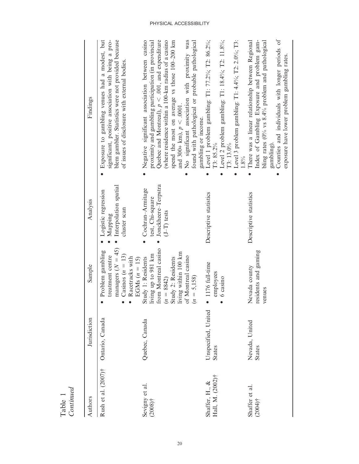| Authors                            | Jurisdiction                         | Sample                                                                                                                                                          | Analysis                                                                     | Findings                                                                                                                                                                                                                                                                                                                                                                                                 |
|------------------------------------|--------------------------------------|-----------------------------------------------------------------------------------------------------------------------------------------------------------------|------------------------------------------------------------------------------|----------------------------------------------------------------------------------------------------------------------------------------------------------------------------------------------------------------------------------------------------------------------------------------------------------------------------------------------------------------------------------------------------------|
| Rush et al. (2007)†                | Ontario, Canada                      | managers $(N = 45)$<br>Problem gambling<br>Casinos ( $n = 13$ )<br>treatment centre<br>Racetracks with<br>EGMs $(n = 15)$                                       | Interpolation spatial<br>Logistic regression<br>cluster scan<br>Mapping      | Exposure to gambling venues had a modest, but<br>blem gambler. Statistics were not provided because<br>significant, positive association with being a pro-<br>of issues of disclosure with external bodies.                                                                                                                                                                                              |
| Sevigny et al.<br>$(2008)$ †       | Quebec, Canada                       | rom Montreal casino<br>iving within 100 km<br>iving up to 981 km<br>of Montreal casino<br>Study 1: Residents<br>study 2: Residents<br>$n = 5,158$<br>$n = 8842$ | Jonckheere-Terpstra<br>Cochran-Armitage<br>test, Chi-square<br>$(J-T)$ tests | Quebec and Montreal), $p < .001$ , and expenditure<br>(where residence within a 100-km radius of a casino<br>Negative significant association between casino<br>No significant association with proximity was<br>proximity and gambling participation (in provincial<br>spend the most on average vs those 100-200 km<br>found with pathological or probable pathological<br>and 300+ km), $p < .0001$ . |
| Hall, M. (2002)†<br>Shaffer, H., & | Unspecified, United<br><b>States</b> | 1176 full-time<br>employees<br>6 casino                                                                                                                         | Descriptive statistics                                                       | Level 1 problem gambling: T1: 77.2%; T2: 86.2%;<br>Level 2 problem gambling: T1: 18.4%; T2: 11.8%;<br>Level 3 problem gambling: T1: 4.4%; T2: 2.0%; T3:<br>gambling or income.<br>T3: 85.2%<br>T3: 13.0%                                                                                                                                                                                                 |
| Shaffer et al.<br>$(2004)$ †       | Nevada, United<br><b>States</b>      | residents and gaming<br>Nevada county<br>venues                                                                                                                 | Descriptive statistics                                                       | Counties and individuals with longer periods of<br>There was a linear relationship between Regional<br>Index of Gambling Exposure and problem gam-<br>bling rates (0% vs 8.4% problem and pathological<br>exposure have lower problem gambling rates.<br>gambling)<br>$1.8\%$                                                                                                                            |

Table 1<br>Continued Continued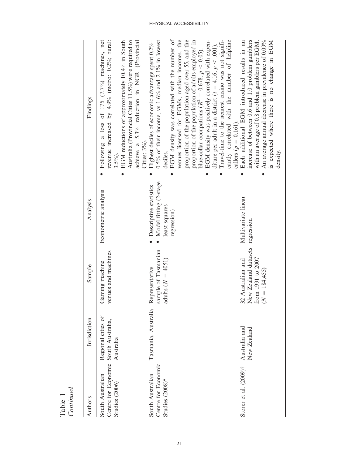| Authors                                                                    | Jurisdiction                    | Sample                                                                                       | Analysis                                                                         | Findings                                                                                                                                                                                                                                                                                                                                                                                                                                                                                                                                                                                                                                              |
|----------------------------------------------------------------------------|---------------------------------|----------------------------------------------------------------------------------------------|----------------------------------------------------------------------------------|-------------------------------------------------------------------------------------------------------------------------------------------------------------------------------------------------------------------------------------------------------------------------------------------------------------------------------------------------------------------------------------------------------------------------------------------------------------------------------------------------------------------------------------------------------------------------------------------------------------------------------------------------------|
| Centre for Economic South Australia,<br>South Australian<br>Studies (2006) | Regional cities of<br>Australia | venues and machines<br>Gaming machine                                                        | Econometric analysis                                                             | revenue increased by 4.9% (metro: $0.2\%$ ; rural:<br>Following a loss of 175 (7.7%) machines, net<br>EGM reductions of approximately 10.4% in South<br>Australia (Provincial Cities 11.5%) were required to<br>achieve a 5.3% reduction in NGR (Provincial<br>Cities: $3\%$ ).<br>$3.5\%$ .                                                                                                                                                                                                                                                                                                                                                          |
| Centre for Economic<br>South Australian<br>Studies $(2008)^*$              | Tasmania, Australia             | sample of Tasmanian<br>adults $(N = 4051)$<br>Representative                                 | Model fitting (2-stage<br>Descriptive statistics<br>least squares<br>regression) | EGM density was correlated with the number of<br>venues licensed for EGMs, median incomes, the<br>proportion of the population aged over 55, and the<br>EGM density was positively correlated with expen-<br>cantly correlated with the number of helpline<br>Highest deciles of economic advantage spent $0.2\%$ -<br>0.5% of their income, vs 1.6% and 2.1% in lowest<br>proportion of the population of adults employed in<br>Travel-time to the nearest casino was not signifi-<br>diture per adult in a district ( $t = 4.16$ , $p < .001$ ).<br>blue-collar occupations ( $R^2 = 0.678$ , $p < 0.05$ ).<br>callers ( $p = 0.161$ ).<br>deciles. |
| Storer et al. (2009)† Australia and                                        | New Zealand                     | New Zealand datasets regression<br>32 Australian and<br>from 1991 to 2007<br>$(N = 184,455)$ | Multivariate linear                                                              | Each additional EGM introduced results in an<br>increase of between 0.6 and 1.0 problem gamblers<br>An average annual decrease in prevalence of 0.09%<br>with an average of 0.8 problem gamblers per EGM.<br>is expected where there is no change in EGM<br>density.                                                                                                                                                                                                                                                                                                                                                                                  |

Table 1<br>Continued Continued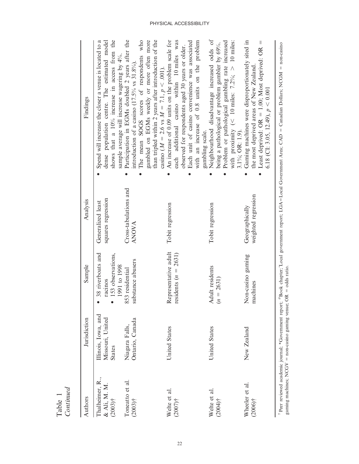| <b>States</b><br>Thalheimer, R.,<br>& Ali, M. M.<br>$(2003)$ † | Jurisdiction                            | Sample                                                            | Analysis                                | Findings                                                                                                                                                                                                                       |
|----------------------------------------------------------------|-----------------------------------------|-------------------------------------------------------------------|-----------------------------------------|--------------------------------------------------------------------------------------------------------------------------------------------------------------------------------------------------------------------------------|
|                                                                | Illinois, Iowa, and<br>Missouri, United | 38 riverboats and<br>153 observations,<br>1991 to 1998<br>racinos | squares regression<br>Generalized least | shows that a 10% increase in access from the<br>dense population centre. The estimated model<br>Spend will increase the closer a venue is located to a<br>sample average will increase wagering by 4%.                         |
| Toneatto et al.<br>$(2003)$ †                                  | Ontario, Canada<br>Niagara Falls,       | substance abusers<br>853 residential                              | Cross-tabulations and<br>ANOVA          | Participation in EGMs doubled 2 years after the<br>The mean SOGS scores of respondents who<br>introduction of a casino $(17.5\% \text{ vs } 31.8\%).$                                                                          |
|                                                                |                                         |                                                                   |                                         | than tripled within 2 years after introduction of the<br>gambled on EGMs weekly or more often more<br>casino ( $M = 2.6$ vs $M = 7.1$ , $p < .001$ )                                                                           |
| Welte et al.<br>$(2007)$ †                                     | United States                           | Representative adult<br>residents $(n = 2631)$                    | Tobit regression                        | An increase of 0.09 units on the problem scale for<br>each additional casino within 10 miles was<br>observed for respondents aged 30 years or older.                                                                           |
|                                                                |                                         |                                                                   |                                         | Each unit of casino convenience was associated<br>with an increase of 0.8 units on the problem<br>gambling scale.                                                                                                              |
| Welte et al.<br>$(2004)$ †                                     | United States                           | Adult residents<br>$n = 2631$                                     | Tobit regression                        | Neighbourhood disadvantage increased odds of<br>Problem or pathological gambling rate increased<br>with proximity (< 10 miles: $7.2\%$ ; > 10 miles:<br>being a pathological or problem gambler by 69%.<br>$3.1\%$ ; OR: 1.9). |
| Wheeler et al.<br>$(2006)$ †                                   | New Zealand                             | Non-casino gaming<br>nachines                                     | weighted regression<br>Geographically   | Gaming machines were disproportionately sited in<br>Least deprived: OR = 1.00; Most deprived: OR =<br>the most deprived areas of New Zealand<br>6.18 (CI: 3.05, 12.49), $p < 0.001$                                            |

Table 1<br>Continued Continued

PHYSICAL ACCESSIBILITY

22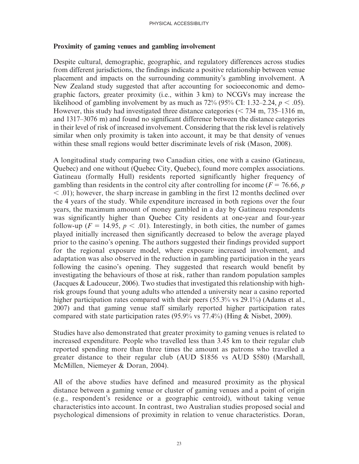### Proximity of gaming venues and gambling involvement

Despite cultural, demographic, geographic, and regulatory differences across studies from different jurisdictions, the findings indicate a positive relationship between venue placement and impacts on the surrounding community's gambling involvement. A New Zealand study suggested that after accounting for socioeconomic and demographic factors, greater proximity (i.e., within 3 km) to NCGVs may increase the likelihood of gambling involvement by as much as  $72\%$  (95% CI: 1.32–2.24,  $p < .05$ ). However, this study had investigated three distance categories ( $<$  734 m, 735–1316 m, and 1317–3076 m) and found no significant difference between the distance categories in their level of risk of increased involvement. Considering that the risk level is relatively similar when only proximity is taken into account, it may be that density of venues within these small regions would better discriminate levels of risk (Mason, 2008).

A longitudinal study comparing two Canadian cities, one with a casino (Gatineau, Quebec) and one without (Quebec City, Quebec), found more complex associations. Gatineau (formally Hull) residents reported significantly higher frequency of gambling than residents in the control city after controlling for income ( $F = 76.66$ , p  $<$  .01); however, the sharp increase in gambling in the first 12 months declined over the 4 years of the study. While expenditure increased in both regions over the four years, the maximum amount of money gambled in a day by Gatineau respondents was significantly higher than Quebec City residents at one-year and four-year follow-up ( $F = 14.95$ ,  $p < .01$ ). Interestingly, in both cities, the number of games played initially increased then significantly decreased to below the average played prior to the casino's opening. The authors suggested their findings provided support for the regional exposure model, where exposure increased involvement, and adaptation was also observed in the reduction in gambling participation in the years following the casino's opening. They suggested that research would benefit by investigating the behaviours of those at risk, rather than random population samples (Jacques & Ladouceur, 2006). Two studies that investigated this relationship with highrisk groups found that young adults who attended a university near a casino reported higher participation rates compared with their peers (55.3% vs 29.1%) (Adams et al., 2007) and that gaming venue staff similarly reported higher participation rates compared with state participation rates (95.9% vs 77.4%) (Hing & Nisbet, 2009).

Studies have also demonstrated that greater proximity to gaming venues is related to increased expenditure. People who travelled less than 3.45 km to their regular club reported spending more than three times the amount as patrons who travelled a greater distance to their regular club (AUD \$1856 vs AUD \$580) (Marshall, McMillen, Niemeyer & Doran, 2004).

All of the above studies have defined and measured proximity as the physical distance between a gaming venue or cluster of gaming venues and a point of origin (e.g., respondent's residence or a geographic centroid), without taking venue characteristics into account. In contrast, two Australian studies proposed social and psychological dimensions of proximity in relation to venue characteristics. Doran,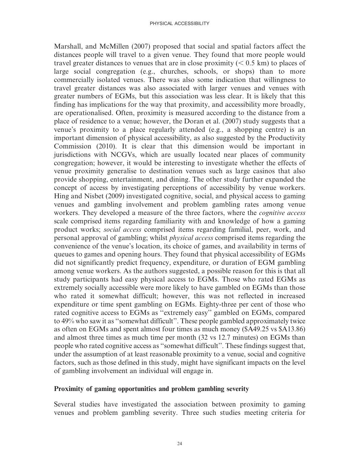Marshall, and McMillen (2007) proposed that social and spatial factors affect the distances people will travel to a given venue. They found that more people would travel greater distances to venues that are in close proximity  $(< 0.5$  km) to places of large social congregation (e.g., churches, schools, or shops) than to more commercially isolated venues. There was also some indication that willingness to travel greater distances was also associated with larger venues and venues with greater numbers of EGMs, but this association was less clear. It is likely that this finding has implications for the way that proximity, and accessibility more broadly, are operationalised. Often, proximity is measured according to the distance from a place of residence to a venue; however, the Doran et al. (2007) study suggests that a venue's proximity to a place regularly attended (e.g., a shopping centre) is an important dimension of physical accessibility, as also suggested by the Productivity Commission (2010). It is clear that this dimension would be important in jurisdictions with NCGVs, which are usually located near places of community congregation; however, it would be interesting to investigate whether the effects of venue proximity generalise to destination venues such as large casinos that also provide shopping, entertainment, and dining. The other study further expanded the concept of access by investigating perceptions of accessibility by venue workers. Hing and Nisbet (2009) investigated cognitive, social, and physical access to gaming venues and gambling involvement and problem gambling rates among venue workers. They developed a measure of the three factors, where the *cognitive access* scale comprised items regarding familiarity with and knowledge of how a gaming product works; social access comprised items regarding familial, peer, work, and personal approval of gambling; whilst physical access comprised items regarding the convenience of the venue's location, its choice of games, and availability in terms of queues to games and opening hours. They found that physical accessibility of EGMs did not significantly predict frequency, expenditure, or duration of EGM gambling among venue workers. As the authors suggested, a possible reason for this is that all study participants had easy physical access to EGMs. Those who rated EGMs as extremely socially accessible were more likely to have gambled on EGMs than those who rated it somewhat difficult; however, this was not reflected in increased expenditure or time spent gambling on EGMs. Eighty-three per cent of those who rated cognitive access to EGMs as ''extremely easy'' gambled on EGMs, compared to 49% who saw it as ''somewhat difficult''. These people gambled approximately twice as often on EGMs and spent almost four times as much money (\$A49.25 vs \$A13.86) and almost three times as much time per month (32 vs 12.7 minutes) on EGMs than people who rated cognitive access as ''somewhat difficult''. These findings suggest that, under the assumption of at least reasonable proximity to a venue, social and cognitive factors, such as those defined in this study, might have significant impacts on the level of gambling involvement an individual will engage in.

### Proximity of gaming opportunities and problem gambling severity

Several studies have investigated the association between proximity to gaming venues and problem gambling severity. Three such studies meeting criteria for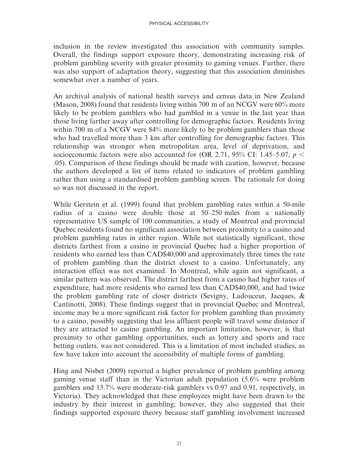inclusion in the review investigated this association with community samples. Overall, the findings support exposure theory, demonstrating increasing risk of problem gambling severity with greater proximity to gaming venues. Further, there was also support of adaptation theory, suggesting that this association diminishes somewhat over a number of years.

An archival analysis of national health surveys and census data in New Zealand (Mason, 2008) found that residents living within 700 m of an NCGV were 60% more likely to be problem gamblers who had gambled in a venue in the last year than those living farther away after controlling for demographic factors. Residents living within 700 m of a NCGV were 84% more likely to be problem gamblers than those who had travelled more than 3 km after controlling for demographic factors. This relationship was stronger when metropolitan area, level of deprivation, and socioeconomic factors were also accounted for (OR 2.71, 95% CI: 1.45–5.07,  $p \le$ .05). Comparison of these findings should be made with caution, however, because the authors developed a list of items related to indicators of problem gambling rather than using a standardised problem gambling screen. The rationale for doing so was not discussed in the report.

While Gerstein et al. (1999) found that problem gambling rates within a 50-mile radius of a casino were double those at 50–250 miles from a nationally representative US sample of 100 communities, a study of Montreal and provincial Quebec residents found no significant association between proximity to a casino and problem gambling rates in either region. While not statistically significant, those districts farthest from a casino in provincial Quebec had a higher proportion of residents who earned less than CAD\$40,000 and approximately three times the rate of problem gambling than the district closest to a casino. Unfortunately, any interaction effect was not examined. In Montreal, while again not significant, a similar pattern was observed. The district farthest from a casino had higher rates of expenditure, had more residents who earned less than CAD\$40,000, and had twice the problem gambling rate of closer districts (Sevigny, Ladouceur, Jacques, & Cantinotti, 2008). These findings suggest that in provincial Quebec and Montreal, income may be a more significant risk factor for problem gambling than proximity to a casino, possibly suggesting that less affluent people will travel some distance if they are attracted to casino gambling. An important limitation, however, is that proximity to other gambling opportunities, such as lottery and sports and race betting outlets, was not considered. This is a limitation of most included studies, as few have taken into account the accessibility of multiple forms of gambling.

Hing and Nisbet (2009) reported a higher prevalence of problem gambling among gaming venue staff than in the Victorian adult population (5.6% were problem gamblers and 13.7% were moderate-risk gamblers vs 0.97 and 0.91, respectively, in Victoria). They acknowledged that these employees might have been drawn to the industry by their interest in gambling; however, they also suggested that their findings supported exposure theory because staff gambling involvement increased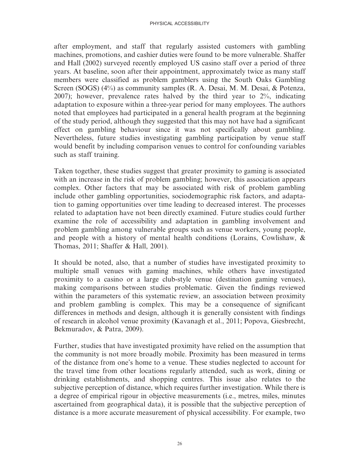after employment, and staff that regularly assisted customers with gambling machines, promotions, and cashier duties were found to be more vulnerable. Shaffer and Hall (2002) surveyed recently employed US casino staff over a period of three years. At baseline, soon after their appointment, approximately twice as many staff members were classified as problem gamblers using the South Oaks Gambling Screen (SOGS) (4%) as community samples (R. A. Desai, M. M. Desai, & Potenza, 2007); however, prevalence rates halved by the third year to 2%, indicating adaptation to exposure within a three-year period for many employees. The authors noted that employees had participated in a general health program at the beginning of the study period, although they suggested that this may not have had a significant effect on gambling behaviour since it was not specifically about gambling. Nevertheless, future studies investigating gambling participation by venue staff would benefit by including comparison venues to control for confounding variables such as staff training.

Taken together, these studies suggest that greater proximity to gaming is associated with an increase in the risk of problem gambling; however, this association appears complex. Other factors that may be associated with risk of problem gambling include other gambling opportunities, sociodemographic risk factors, and adaptation to gaming opportunities over time leading to decreased interest. The processes related to adaptation have not been directly examined. Future studies could further examine the role of accessibility and adaptation in gambling involvement and problem gambling among vulnerable groups such as venue workers, young people, and people with a history of mental health conditions (Lorains, Cowlishaw, & Thomas, 2011; Shaffer & Hall, 2001).

It should be noted, also, that a number of studies have investigated proximity to multiple small venues with gaming machines, while others have investigated proximity to a casino or a large club-style venue (destination gaming venues), making comparisons between studies problematic. Given the findings reviewed within the parameters of this systematic review, an association between proximity and problem gambling is complex. This may be a consequence of significant differences in methods and design, although it is generally consistent with findings of research in alcohol venue proximity (Kavanagh et al., 2011; Popova, Giesbrecht, Bekmuradov, & Patra, 2009).

Further, studies that have investigated proximity have relied on the assumption that the community is not more broadly mobile. Proximity has been measured in terms of the distance from one's home to a venue. These studies neglected to account for the travel time from other locations regularly attended, such as work, dining or drinking establishments, and shopping centres. This issue also relates to the subjective perception of distance, which requires further investigation. While there is a degree of empirical rigour in objective measurements (i.e., metres, miles, minutes ascertained from geographical data), it is possible that the subjective perception of distance is a more accurate measurement of physical accessibility. For example, two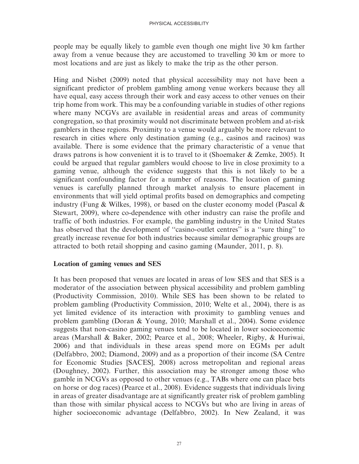people may be equally likely to gamble even though one might live 30 km farther away from a venue because they are accustomed to travelling 30 km or more to most locations and are just as likely to make the trip as the other person.

Hing and Nisbet (2009) noted that physical accessibility may not have been a significant predictor of problem gambling among venue workers because they all have equal, easy access through their work and easy access to other venues on their trip home from work. This may be a confounding variable in studies of other regions where many NCGVs are available in residential areas and areas of community congregation, so that proximity would not discriminate between problem and at-risk gamblers in these regions. Proximity to a venue would arguably be more relevant to research in cities where only destination gaming (e.g., casinos and racinos) was available. There is some evidence that the primary characteristic of a venue that draws patrons is how convenient it is to travel to it (Shoemaker & Zemke, 2005). It could be argued that regular gamblers would choose to live in close proximity to a gaming venue, although the evidence suggests that this is not likely to be a significant confounding factor for a number of reasons. The location of gaming venues is carefully planned through market analysis to ensure placement in environments that will yield optimal profits based on demographics and competing industry (Fung & Wilkes, 1998), or based on the cluster economy model (Pascal & Stewart, 2009), where co-dependence with other industry can raise the profile and traffic of both industries. For example, the gambling industry in the United States has observed that the development of ''casino-outlet centres'' is a ''sure thing'' to greatly increase revenue for both industries because similar demographic groups are attracted to both retail shopping and casino gaming (Maunder, 2011, p. 8).

#### Location of gaming venues and SES

It has been proposed that venues are located in areas of low SES and that SES is a moderator of the association between physical accessibility and problem gambling (Productivity Commission, 2010). While SES has been shown to be related to problem gambling (Productivity Commission, 2010; Welte et al., 2004), there is as yet limited evidence of its interaction with proximity to gambling venues and problem gambling (Doran & Young, 2010; Marshall et al., 2004). Some evidence suggests that non-casino gaming venues tend to be located in lower socioeconomic areas (Marshall & Baker, 2002; Pearce et al., 2008; Wheeler, Rigby, & Huriwai, 2006) and that individuals in these areas spend more on EGMs per adult (Delfabbro, 2002; Diamond, 2009) and as a proportion of their income (SA Centre for Economic Studies [SACES], 2008) across metropolitan and regional areas (Doughney, 2002). Further, this association may be stronger among those who gamble in NCGVs as opposed to other venues (e.g., TABs where one can place bets on horse or dog races) (Pearce et al., 2008). Evidence suggests that individuals living in areas of greater disadvantage are at significantly greater risk of problem gambling than those with similar physical access to NCGVs but who are living in areas of higher socioeconomic advantage (Delfabbro, 2002). In New Zealand, it was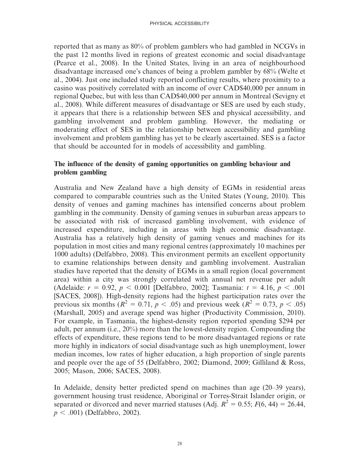reported that as many as 80% of problem gamblers who had gambled in NCGVs in the past 12 months lived in regions of greatest economic and social disadvantage (Pearce et al., 2008). In the United States, living in an area of neighbourhood disadvantage increased one's chances of being a problem gambler by 68% (Welte et al., 2004). Just one included study reported conflicting results, where proximity to a casino was positively correlated with an income of over CAD\$40,000 per annum in regional Quebec, but with less than CAD\$40,000 per annum in Montreal (Sevigny et al., 2008). While different measures of disadvantage or SES are used by each study, it appears that there is a relationship between SES and physical accessibility, and gambling involvement and problem gambling. However, the mediating or moderating effect of SES in the relationship between accessibility and gambling involvement and problem gambling has yet to be clearly ascertained. SES is a factor that should be accounted for in models of accessibility and gambling.

## The influence of the density of gaming opportunities on gambling behaviour and problem gambling

Australia and New Zealand have a high density of EGMs in residential areas compared to comparable countries such as the United States (Young, 2010). This density of venues and gaming machines has intensified concerns about problem gambling in the community. Density of gaming venues in suburban areas appears to be associated with risk of increased gambling involvement, with evidence of increased expenditure, including in areas with high economic disadvantage. Australia has a relatively high density of gaming venues and machines for its population in most cities and many regional centres (approximately 10 machines per 1000 adults) (Delfabbro, 2008). This environment permits an excellent opportunity to examine relationships between density and gambling involvement. Australian studies have reported that the density of EGMs in a small region (local government area) within a city was strongly correlated with annual net revenue per adult (Adelaide:  $r = 0.92$ ,  $p < 0.001$  [Delfabbro, 2002]; Tasmania:  $t = 4.16$ ,  $p < .001$ [SACES, 2008]). High-density regions had the highest participation rates over the previous six months ( $R^2 = 0.71$ ,  $p < .05$ ) and previous week ( $R^2 = 0.73$ ,  $p < .05$ ) (Marshall, 2005) and average spend was higher (Productivity Commission, 2010). For example, in Tasmania, the highest-density region reported spending \$294 per adult, per annum (i.e., 20%) more than the lowest-density region. Compounding the effects of expenditure, these regions tend to be more disadvantaged regions or rate more highly in indicators of social disadvantage such as high unemployment, lower median incomes, low rates of higher education, a high proportion of single parents and people over the age of 55 (Delfabbro, 2002; Diamond, 2009; Gilliland & Ross, 2005; Mason, 2006; SACES, 2008).

In Adelaide, density better predicted spend on machines than age (20–39 years), government housing trust residence, Aboriginal or Torres-Strait Islander origin, or separated or divorced and never married statuses (Adj.  $R^2 = 0.55$ ;  $F(6, 44) = 26.44$ ,  $p < .001$ ) (Delfabbro, 2002).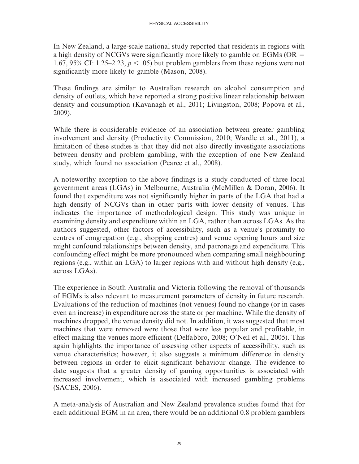In New Zealand, a large-scale national study reported that residents in regions with a high density of NCGVs were significantly more likely to gamble on EGMs ( $OR =$ 1.67, 95% CI: 1.25–2.23,  $p < .05$ ) but problem gamblers from these regions were not significantly more likely to gamble (Mason, 2008).

These findings are similar to Australian research on alcohol consumption and density of outlets, which have reported a strong positive linear relationship between density and consumption (Kavanagh et al., 2011; Livingston, 2008; Popova et al., 2009).

While there is considerable evidence of an association between greater gambling involvement and density (Productivity Commission, 2010; Wardle et al., 2011), a limitation of these studies is that they did not also directly investigate associations between density and problem gambling, with the exception of one New Zealand study, which found no association (Pearce et al., 2008).

A noteworthy exception to the above findings is a study conducted of three local government areas (LGAs) in Melbourne, Australia (McMillen & Doran, 2006). It found that expenditure was not significantly higher in parts of the LGA that had a high density of NCGVs than in other parts with lower density of venues. This indicates the importance of methodological design. This study was unique in examining density and expenditure within an LGA, rather than across LGAs. As the authors suggested, other factors of accessibility, such as a venue's proximity to centres of congregation (e.g., shopping centres) and venue opening hours and size might confound relationships between density, and patronage and expenditure. This confounding effect might be more pronounced when comparing small neighbouring regions (e.g., within an LGA) to larger regions with and without high density (e.g., across LGAs).

The experience in South Australia and Victoria following the removal of thousands of EGMs is also relevant to measurement parameters of density in future research. Evaluations of the reduction of machines (not venues) found no change (or in cases even an increase) in expenditure across the state or per machine. While the density of machines dropped, the venue density did not. In addition, it was suggested that most machines that were removed were those that were less popular and profitable, in effect making the venues more efficient (Delfabbro, 2008; O'Neil et al., 2005). This again highlights the importance of assessing other aspects of accessibility, such as venue characteristics; however, it also suggests a minimum difference in density between regions in order to elicit significant behaviour change. The evidence to date suggests that a greater density of gaming opportunities is associated with increased involvement, which is associated with increased gambling problems (SACES, 2006).

A meta-analysis of Australian and New Zealand prevalence studies found that for each additional EGM in an area, there would be an additional 0.8 problem gamblers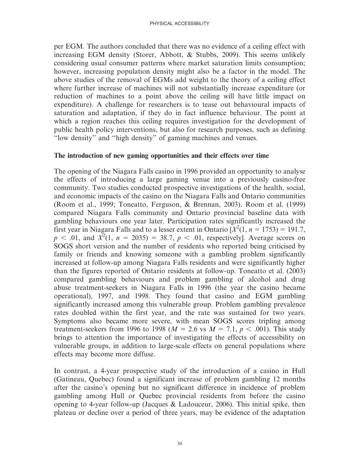per EGM. The authors concluded that there was no evidence of a ceiling effect with increasing EGM density (Storer, Abbott, & Stubbs, 2009). This seems unlikely considering usual consumer patterns where market saturation limits consumption; however, increasing population density might also be a factor in the model. The above studies of the removal of EGMs add weight to the theory of a ceiling effect where further increase of machines will not substantially increase expenditure (or reduction of machines to a point above the ceiling will have little impact on expenditure). A challenge for researchers is to tease out behavioural impacts of saturation and adaptation, if they do in fact influence behaviour. The point at which a region reaches this ceiling requires investigation for the development of public health policy interventions, but also for research purposes, such as defining ''low density'' and ''high density'' of gaming machines and venues.

#### The introduction of new gaming opportunities and their effects over time

The opening of the Niagara Falls casino in 1996 provided an opportunity to analyse the effects of introducing a large gaming venue into a previously casino-free community. Two studies conducted prospective investigations of the health, social, and economic impacts of the casino on the Niagara Falls and Ontario communities (Room et al., 1999; Toneatto, Ferguson, & Brennan, 2003). Room et al. (1999) compared Niagara Falls community and Ontario provincial baseline data with gambling behaviours one year later. Participation rates significantly increased the first year in Niagara Falls and to a lesser extent in Ontario  $X^2(1, n = 1753) = 191.7$ ,  $p < .01$ , and  $\overline{X^2}(1, n = 2035) = 38.7, p < .01$ , respectively]. Average scores on SOGS short version and the number of residents who reported being criticised by family or friends and knowing someone with a gambling problem significantly increased at follow-up among Niagara Falls residents and were significantly higher than the figures reported of Ontario residents at follow-up. Toneatto et al. (2003) compared gambling behaviours and problem gambling of alcohol and drug abuse treatment-seekers in Niagara Falls in 1996 (the year the casino became operational), 1997, and 1998. They found that casino and EGM gambling significantly increased among this vulnerable group. Problem gambling prevalence rates doubled within the first year, and the rate was sustained for two years. Symptoms also became more severe, with mean SOGS scores tripling among treatment-seekers from 1996 to 1998 ( $M = 2.6$  vs  $M = 7.1$ ,  $p < .001$ ). This study brings to attention the importance of investigating the effects of accessibility on vulnerable groups, in addition to large-scale effects on general populations where effects may become more diffuse.

In contrast, a 4-year prospective study of the introduction of a casino in Hull (Gatineau, Quebec) found a significant increase of problem gambling 12 months after the casino's opening but no significant difference in incidence of problem gambling among Hull or Quebec provincial residents from before the casino opening to 4-year follow-up (Jacques & Ladouceur, 2006). This initial spike, then plateau or decline over a period of three years, may be evidence of the adaptation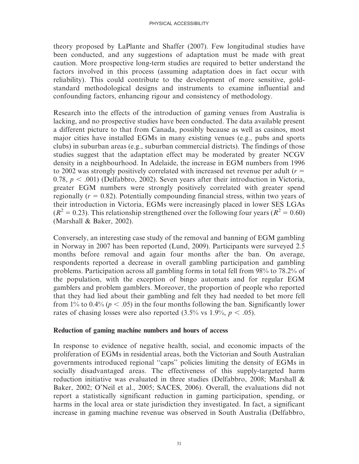theory proposed by LaPlante and Shaffer (2007). Few longitudinal studies have been conducted, and any suggestions of adaptation must be made with great caution. More prospective long-term studies are required to better understand the factors involved in this process (assuming adaptation does in fact occur with reliability). This could contribute to the development of more sensitive, goldstandard methodological designs and instruments to examine influential and confounding factors, enhancing rigour and consistency of methodology.

Research into the effects of the introduction of gaming venues from Australia is lacking, and no prospective studies have been conducted. The data available present a different picture to that from Canada, possibly because as well as casinos, most major cities have installed EGMs in many existing venues (e.g., pubs and sports clubs) in suburban areas (e.g., suburban commercial districts). The findings of those studies suggest that the adaptation effect may be moderated by greater NCGV density in a neighbourhood. In Adelaide, the increase in EGM numbers from 1996 to 2002 was strongly positively correlated with increased net revenue per adult  $(r =$ 0.78,  $p < .001$ ) (Delfabbro, 2002). Seven years after their introduction in Victoria, greater EGM numbers were strongly positively correlated with greater spend regionally  $(r = 0.82)$ . Potentially compounding financial stress, within two years of their introduction in Victoria, EGMs were increasingly placed in lower SES LGAs  $(R^{2} = 0.23)$ . This relationship strengthened over the following four years ( $R^{2} = 0.60$ ) (Marshall & Baker, 2002).

Conversely, an interesting case study of the removal and banning of EGM gambling in Norway in 2007 has been reported (Lund, 2009). Participants were surveyed 2.5 months before removal and again four months after the ban. On average, respondents reported a decrease in overall gambling participation and gambling problems. Participation across all gambling forms in total fell from 98% to 78.2% of the population, with the exception of bingo automats and for regular EGM gamblers and problem gamblers. Moreover, the proportion of people who reported that they had lied about their gambling and felt they had needed to bet more fell from 1% to 0.4% ( $p < .05$ ) in the four months following the ban. Significantly lower rates of chasing losses were also reported  $(3.5\% \text{ vs } 1.9\%, p < .05)$ .

#### Reduction of gaming machine numbers and hours of access

In response to evidence of negative health, social, and economic impacts of the proliferation of EGMs in residential areas, both the Victorian and South Australian governments introduced regional ''caps'' policies limiting the density of EGMs in socially disadvantaged areas. The effectiveness of this supply-targeted harm reduction initiative was evaluated in three studies (Delfabbro, 2008; Marshall & Baker, 2002; O'Neil et al., 2005; SACES, 2006). Overall, the evaluations did not report a statistically significant reduction in gaming participation, spending, or harms in the local area or state jurisdiction they investigated. In fact, a significant increase in gaming machine revenue was observed in South Australia (Delfabbro,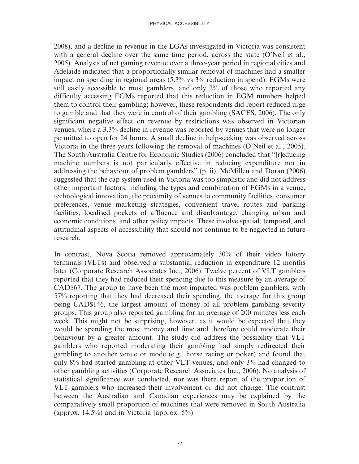2008), and a decline in revenue in the LGAs investigated in Victoria was consistent with a general decline over the same time period, across the state (O'Neil et al., 2005). Analysis of net gaming revenue over a three-year period in regional cities and Adelaide indicated that a proportionally similar removal of machines had a smaller impact on spending in regional areas (5.3% vs 3% reduction in spend). EGMs were still easily accessible to most gamblers, and only 2% of those who reported any difficulty accessing EGMs reported that this reduction in EGM numbers helped them to control their gambling; however, these respondents did report reduced urge to gamble and that they were in control of their gambling (SACES, 2006). The only significant negative effect on revenue by restrictions was observed in Victorian venues, where a 3.3% decline in revenue was reported by venues that were no longer permitted to open for 24 hours. A small decline in help-seeking was observed across Victoria in the three years following the removal of machines (O'Neil et al., 2005). The South Australia Centre for Economic Studies (2006) concluded that ''[r]educing machine numbers is not particularly effective in reducing expenditure nor in addressing the behaviour of problem gamblers'' (p. ii). McMillen and Doran (2006) suggested that the cap system used in Victoria was too simplistic and did not address other important factors, including the types and combination of EGMs in a venue, technological innovation, the proximity of venues to community facilities, consumer preferences, venue marketing strategies, convenient travel routes and parking facilities, localised pockets of affluence and disadvantage, changing urban and economic conditions, and other policy impacts. These involve spatial, temporal, and attitudinal aspects of accessibility that should not continue to be neglected in future research.

In contrast, Nova Scotia removed approximately 30% of their video lottery terminals (VLTs) and observed a substantial reduction in expenditure 12 months later (Corporate Research Associates Inc., 2006). Twelve percent of VLT gamblers reported that they had reduced their spending due to this measure by an average of CAD\$67. The group to have been the most impacted was problem gamblers, with 57% reporting that they had decreased their spending, the average for this group being CAD\$146, the largest amount of money of all problem gambling severity groups. This group also reported gambling for an average of 200 minutes less each week. This might not be surprising, however, as it would be expected that they would be spending the most money and time and therefore could moderate their behaviour by a greater amount. The study did address the possibility that VLT gamblers who reported moderating their gambling had simply redirected their gambling to another venue or mode (e.g., horse racing or poker) and found that only 8% had started gambling at other VLT venues, and only 3% had changed to other gambling activities (Corporate Research Associates Inc., 2006). No analysis of statistical significance was conducted, nor was there report of the proportion of VLT gamblers who increased their involvement or did not change. The contrast between the Australian and Canadian experiences may be explained by the comparatively small proportion of machines that were removed in South Australia (approx.  $14.5\%$ ) and in Victoria (approx.  $5\%$ ).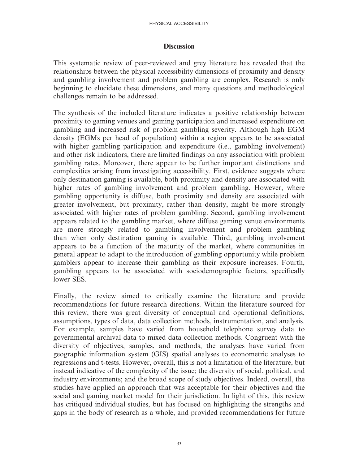#### **Discussion**

This systematic review of peer-reviewed and grey literature has revealed that the relationships between the physical accessibility dimensions of proximity and density and gambling involvement and problem gambling are complex. Research is only beginning to elucidate these dimensions, and many questions and methodological challenges remain to be addressed.

The synthesis of the included literature indicates a positive relationship between proximity to gaming venues and gaming participation and increased expenditure on gambling and increased risk of problem gambling severity. Although high EGM density (EGMs per head of population) within a region appears to be associated with higher gambling participation and expenditure (i.e., gambling involvement) and other risk indicators, there are limited findings on any association with problem gambling rates. Moreover, there appear to be further important distinctions and complexities arising from investigating accessibility. First, evidence suggests where only destination gaming is available, both proximity and density are associated with higher rates of gambling involvement and problem gambling. However, where gambling opportunity is diffuse, both proximity and density are associated with greater involvement, but proximity, rather than density, might be more strongly associated with higher rates of problem gambling. Second, gambling involvement appears related to the gambling market, where diffuse gaming venue environments are more strongly related to gambling involvement and problem gambling than when only destination gaming is available. Third, gambling involvement appears to be a function of the maturity of the market, where communities in general appear to adapt to the introduction of gambling opportunity while problem gamblers appear to increase their gambling as their exposure increases. Fourth, gambling appears to be associated with sociodemographic factors, specifically lower SES.

Finally, the review aimed to critically examine the literature and provide recommendations for future research directions. Within the literature sourced for this review, there was great diversity of conceptual and operational definitions, assumptions, types of data, data collection methods, instrumentation, and analysis. For example, samples have varied from household telephone survey data to governmental archival data to mixed data collection methods. Congruent with the diversity of objectives, samples, and methods, the analyses have varied from geographic information system (GIS) spatial analyses to econometric analyses to regressions and t-tests. However, overall, this is not a limitation of the literature, but instead indicative of the complexity of the issue; the diversity of social, political, and industry environments; and the broad scope of study objectives. Indeed, overall, the studies have applied an approach that was acceptable for their objectives and the social and gaming market model for their jurisdiction. In light of this, this review has critiqued individual studies, but has focused on highlighting the strengths and gaps in the body of research as a whole, and provided recommendations for future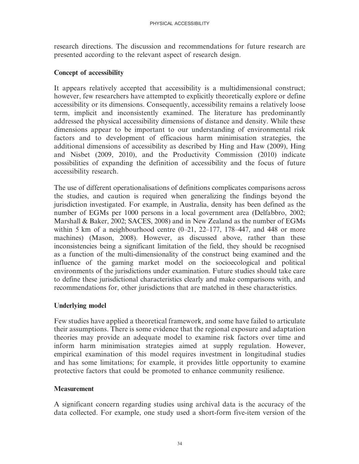research directions. The discussion and recommendations for future research are presented according to the relevant aspect of research design.

### Concept of accessibility

It appears relatively accepted that accessibility is a multidimensional construct; however, few researchers have attempted to explicitly theoretically explore or define accessibility or its dimensions. Consequently, accessibility remains a relatively loose term, implicit and inconsistently examined. The literature has predominantly addressed the physical accessibility dimensions of distance and density. While these dimensions appear to be important to our understanding of environmental risk factors and to development of efficacious harm minimisation strategies, the additional dimensions of accessibility as described by Hing and Haw (2009), Hing and Nisbet (2009, 2010), and the Productivity Commission (2010) indicate possibilities of expanding the definition of accessibility and the focus of future accessibility research.

The use of different operationalisations of definitions complicates comparisons across the studies, and caution is required when generalizing the findings beyond the jurisdiction investigated. For example, in Australia, density has been defined as the number of EGMs per 1000 persons in a local government area (Delfabbro, 2002; Marshall & Baker, 2002; SACES, 2008) and in New Zealand as the number of EGMs within 5 km of a neighbourhood centre  $(0-21, 22-177, 178-447,$  and 448 or more machines) (Mason, 2008). However, as discussed above, rather than these inconsistencies being a significant limitation of the field, they should be recognised as a function of the multi-dimensionality of the construct being examined and the influence of the gaming market model on the socioecological and political environments of the jurisdictions under examination. Future studies should take care to define these jurisdictional characteristics clearly and make comparisons with, and recommendations for, other jurisdictions that are matched in these characteristics.

# Underlying model

Few studies have applied a theoretical framework, and some have failed to articulate their assumptions. There is some evidence that the regional exposure and adaptation theories may provide an adequate model to examine risk factors over time and inform harm minimisation strategies aimed at supply regulation. However, empirical examination of this model requires investment in longitudinal studies and has some limitations; for example, it provides little opportunity to examine protective factors that could be promoted to enhance community resilience.

#### **Measurement**

A significant concern regarding studies using archival data is the accuracy of the data collected. For example, one study used a short-form five-item version of the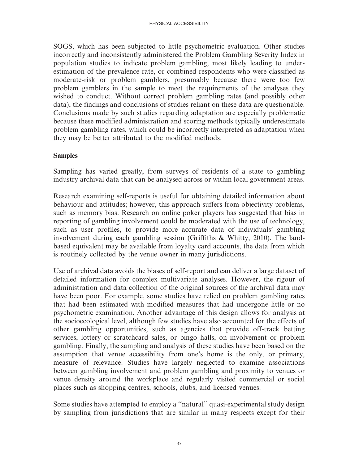SOGS, which has been subjected to little psychometric evaluation. Other studies incorrectly and inconsistently administered the Problem Gambling Severity Index in population studies to indicate problem gambling, most likely leading to underestimation of the prevalence rate, or combined respondents who were classified as moderate-risk or problem gamblers, presumably because there were too few problem gamblers in the sample to meet the requirements of the analyses they wished to conduct. Without correct problem gambling rates (and possibly other data), the findings and conclusions of studies reliant on these data are questionable. Conclusions made by such studies regarding adaptation are especially problematic because these modified administration and scoring methods typically underestimate problem gambling rates, which could be incorrectly interpreted as adaptation when they may be better attributed to the modified methods.

#### **Samples**

Sampling has varied greatly, from surveys of residents of a state to gambling industry archival data that can be analysed across or within local government areas.

Research examining self-reports is useful for obtaining detailed information about behaviour and attitudes; however, this approach suffers from objectivity problems, such as memory bias. Research on online poker players has suggested that bias in reporting of gambling involvement could be moderated with the use of technology, such as user profiles, to provide more accurate data of individuals' gambling involvement during each gambling session (Griffiths & Whitty, 2010). The landbased equivalent may be available from loyalty card accounts, the data from which is routinely collected by the venue owner in many jurisdictions.

Use of archival data avoids the biases of self-report and can deliver a large dataset of detailed information for complex multivariate analyses. However, the rigour of administration and data collection of the original sources of the archival data may have been poor. For example, some studies have relied on problem gambling rates that had been estimated with modified measures that had undergone little or no psychometric examination. Another advantage of this design allows for analysis at the socioecological level, although few studies have also accounted for the effects of other gambling opportunities, such as agencies that provide off-track betting services, lottery or scratchcard sales, or bingo halls, on involvement or problem gambling. Finally, the sampling and analysis of these studies have been based on the assumption that venue accessibility from one's home is the only, or primary, measure of relevance. Studies have largely neglected to examine associations between gambling involvement and problem gambling and proximity to venues or venue density around the workplace and regularly visited commercial or social places such as shopping centres, schools, clubs, and licensed venues.

Some studies have attempted to employ a ''natural'' quasi-experimental study design by sampling from jurisdictions that are similar in many respects except for their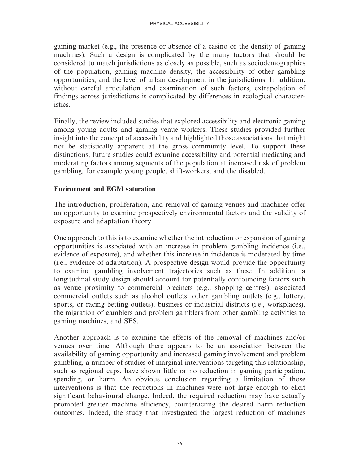gaming market (e.g., the presence or absence of a casino or the density of gaming machines). Such a design is complicated by the many factors that should be considered to match jurisdictions as closely as possible, such as sociodemographics of the population, gaming machine density, the accessibility of other gambling opportunities, and the level of urban development in the jurisdictions. In addition, without careful articulation and examination of such factors, extrapolation of findings across jurisdictions is complicated by differences in ecological characteristics.

Finally, the review included studies that explored accessibility and electronic gaming among young adults and gaming venue workers. These studies provided further insight into the concept of accessibility and highlighted those associations that might not be statistically apparent at the gross community level. To support these distinctions, future studies could examine accessibility and potential mediating and moderating factors among segments of the population at increased risk of problem gambling, for example young people, shift-workers, and the disabled.

# Environment and EGM saturation

The introduction, proliferation, and removal of gaming venues and machines offer an opportunity to examine prospectively environmental factors and the validity of exposure and adaptation theory.

One approach to this is to examine whether the introduction or expansion of gaming opportunities is associated with an increase in problem gambling incidence (i.e., evidence of exposure), and whether this increase in incidence is moderated by time (i.e., evidence of adaptation). A prospective design would provide the opportunity to examine gambling involvement trajectories such as these. In addition, a longitudinal study design should account for potentially confounding factors such as venue proximity to commercial precincts (e.g., shopping centres), associated commercial outlets such as alcohol outlets, other gambling outlets (e.g., lottery, sports, or racing betting outlets), business or industrial districts (i.e., workplaces), the migration of gamblers and problem gamblers from other gambling activities to gaming machines, and SES.

Another approach is to examine the effects of the removal of machines and/or venues over time. Although there appears to be an association between the availability of gaming opportunity and increased gaming involvement and problem gambling, a number of studies of marginal interventions targeting this relationship, such as regional caps, have shown little or no reduction in gaming participation, spending, or harm. An obvious conclusion regarding a limitation of those interventions is that the reductions in machines were not large enough to elicit significant behavioural change. Indeed, the required reduction may have actually promoted greater machine efficiency, counteracting the desired harm reduction outcomes. Indeed, the study that investigated the largest reduction of machines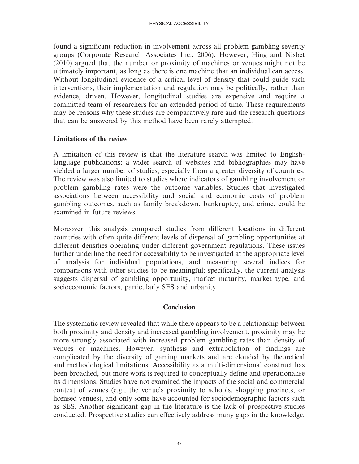found a significant reduction in involvement across all problem gambling severity groups (Corporate Research Associates Inc., 2006). However, Hing and Nisbet (2010) argued that the number or proximity of machines or venues might not be ultimately important, as long as there is one machine that an individual can access. Without longitudinal evidence of a critical level of density that could guide such interventions, their implementation and regulation may be politically, rather than evidence, driven. However, longitudinal studies are expensive and require a committed team of researchers for an extended period of time. These requirements may be reasons why these studies are comparatively rare and the research questions that can be answered by this method have been rarely attempted.

#### Limitations of the review

A limitation of this review is that the literature search was limited to Englishlanguage publications; a wider search of websites and bibliographies may have yielded a larger number of studies, especially from a greater diversity of countries. The review was also limited to studies where indicators of gambling involvement or problem gambling rates were the outcome variables. Studies that investigated associations between accessibility and social and economic costs of problem gambling outcomes, such as family breakdown, bankruptcy, and crime, could be examined in future reviews.

Moreover, this analysis compared studies from different locations in different countries with often quite different levels of dispersal of gambling opportunities at different densities operating under different government regulations. These issues further underline the need for accessibility to be investigated at the appropriate level of analysis for individual populations, and measuring several indices for comparisons with other studies to be meaningful; specifically, the current analysis suggests dispersal of gambling opportunity, market maturity, market type, and socioeconomic factors, particularly SES and urbanity.

#### **Conclusion**

The systematic review revealed that while there appears to be a relationship between both proximity and density and increased gambling involvement, proximity may be more strongly associated with increased problem gambling rates than density of venues or machines. However, synthesis and extrapolation of findings are complicated by the diversity of gaming markets and are clouded by theoretical and methodological limitations. Accessibility as a multi-dimensional construct has been broached, but more work is required to conceptually define and operationalise its dimensions. Studies have not examined the impacts of the social and commercial context of venues (e.g., the venue's proximity to schools, shopping precincts, or licensed venues), and only some have accounted for sociodemographic factors such as SES. Another significant gap in the literature is the lack of prospective studies conducted. Prospective studies can effectively address many gaps in the knowledge,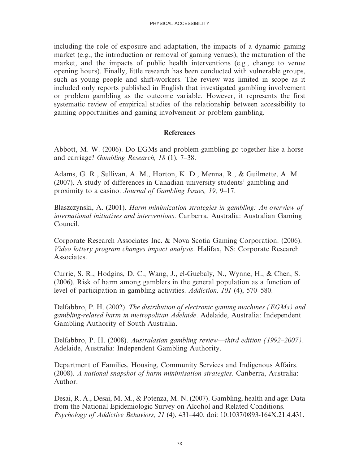including the role of exposure and adaptation, the impacts of a dynamic gaming market (e.g., the introduction or removal of gaming venues), the maturation of the market, and the impacts of public health interventions (e.g., change to venue opening hours). Finally, little research has been conducted with vulnerable groups, such as young people and shift-workers. The review was limited in scope as it included only reports published in English that investigated gambling involvement or problem gambling as the outcome variable. However, it represents the first systematic review of empirical studies of the relationship between accessibility to gaming opportunities and gaming involvement or problem gambling.

#### References

Abbott, M. W. (2006). Do EGMs and problem gambling go together like a horse and carriage? Gambling Research, 18 (1), 7–38.

Adams, G. R., Sullivan, A. M., Horton, K. D., Menna, R., & Guilmette, A. M. (2007). A study of differences in Canadian university students' gambling and proximity to a casino. Journal of Gambling Issues, 19, 9–17.

Blaszczynski, A. (2001). Harm minimization strategies in gambling: An overview of international initiatives and interventions. Canberra, Australia: Australian Gaming Council.

Corporate Research Associates Inc. & Nova Scotia Gaming Corporation. (2006). Video lottery program changes impact analysis. Halifax, NS: Corporate Research Associates.

Currie, S. R., Hodgins, D. C., Wang, J., el-Guebaly, N., Wynne, H., & Chen, S. (2006). Risk of harm among gamblers in the general population as a function of level of participation in gambling activities. Addiction, 101 (4), 570–580.

Delfabbro, P. H. (2002). The distribution of electronic gaming machines (EGMs) and gambling-related harm in metropolitan Adelaide. Adelaide, Australia: Independent Gambling Authority of South Australia.

Delfabbro, P. H. (2008). Australasian gambling review—third edition (1992–2007). Adelaide, Australia: Independent Gambling Authority.

Department of Families, Housing, Community Services and Indigenous Affairs. (2008). A national snapshot of harm minimisation strategies. Canberra, Australia: Author.

Desai, R. A., Desai, M. M., & Potenza, M. N. (2007). Gambling, health and age: Data from the National Epidemiologic Survey on Alcohol and Related Conditions. Psychology of Addictive Behaviors, 21 (4), 431–440. doi: 10.1037/0893-164X.21.4.431.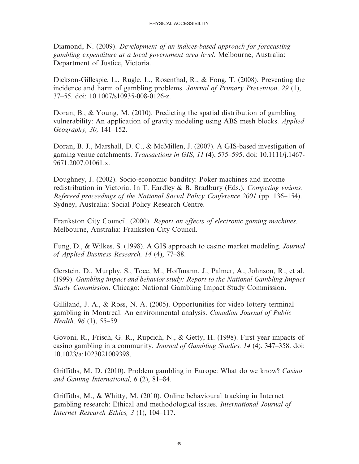Diamond, N. (2009). Development of an indices-based approach for forecasting gambling expenditure at a local government area level. Melbourne, Australia: Department of Justice, Victoria.

Dickson-Gillespie, L., Rugle, L., Rosenthal, R., & Fong, T. (2008). Preventing the incidence and harm of gambling problems. Journal of Primary Prevention, 29 (1), 37–55. doi: 10.1007/s10935-008-0126-z.

Doran, B., & Young, M. (2010). Predicting the spatial distribution of gambling vulnerability: An application of gravity modeling using ABS mesh blocks. Applied Geography, 30, 141–152.

Doran, B. J., Marshall, D. C., & McMillen, J. (2007). A GIS-based investigation of gaming venue catchments. Transactions in GIS, 11 (4), 575–595. doi: 10.1111/j.1467- 9671.2007.01061.x.

Doughney, J. (2002). Socio-economic banditry: Poker machines and income redistribution in Victoria. In T. Eardley & B. Bradbury (Eds.), Competing visions: Refereed proceedings of the National Social Policy Conference 2001 (pp. 136–154). Sydney, Australia: Social Policy Research Centre.

Frankston City Council. (2000). Report on effects of electronic gaming machines. Melbourne, Australia: Frankston City Council.

Fung, D., & Wilkes, S. (1998). A GIS approach to casino market modeling. Journal of Applied Business Research, 14 (4), 77–88.

Gerstein, D., Murphy, S., Toce, M., Hoffmann, J., Palmer, A., Johnson, R., et al. (1999). Gambling impact and behavior study: Report to the National Gambling Impact Study Commission. Chicago: National Gambling Impact Study Commission.

Gilliland, J. A., & Ross, N. A. (2005). Opportunities for video lottery terminal gambling in Montreal: An environmental analysis. Canadian Journal of Public Health, 96 (1), 55–59.

Govoni, R., Frisch, G. R., Rupcich, N., & Getty, H. (1998). First year impacts of casino gambling in a community. Journal of Gambling Studies, 14 (4), 347–358. doi: 10.1023/a:1023021009398.

Griffiths, M. D. (2010). Problem gambling in Europe: What do we know? Casino and Gaming International, 6 (2), 81–84.

Griffiths, M., & Whitty, M. (2010). Online behavioural tracking in Internet gambling research: Ethical and methodological issues. International Journal of Internet Research Ethics, 3 (1), 104–117.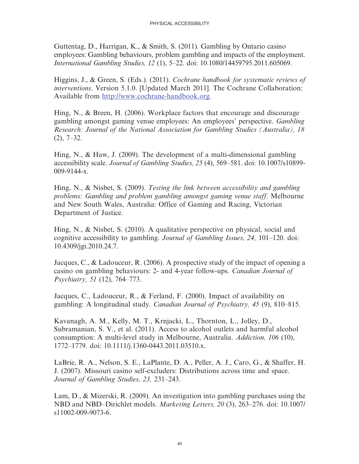Guttentag, D., Harrigan, K., & Smith, S. (2011). Gambling by Ontario casino employees: Gambling behaviours, problem gambling and impacts of the employment. International Gambling Studies, 12 (1), 5–22. doi: 10.1080/14459795.2011.605069.

Higgins, J., & Green, S. (Eds.). (2011). Cochrane handbook for systematic reviews of interventions. Version 5.1.0. [Updated March 2011]. The Cochrane Collaboration: Available from http://www.cochrane-handbook.org.

Hing, N., & Breen, H. (2006). Workplace factors that encourage and discourage gambling amongst gaming venue employees: An employees' perspective. Gambling Research: Journal of the National Association for Gambling Studies (Australia), 18  $(2)$ , 7–32.

Hing, N., & Haw, J. (2009). The development of a multi-dimensional gambling accessibility scale. Journal of Gambling Studies, 25 (4), 569–581. doi: 10.1007/s10899- 009-9144-x.

Hing, N., & Nisbet, S. (2009). Testing the link between accessibility and gambling problems: Gambling and problem gambling amongst gaming venue staff. Melbourne and New South Wales, Australia: Office of Gaming and Racing, Victorian Department of Justice.

Hing, N., & Nisbet, S. (2010). A qualitative perspective on physical, social and cognitive accessibility to gambling. Journal of Gambling Issues, 24, 101–120. doi: 10.4309/jgi.2010.24.7.

Jacques, C., & Ladouceur, R. (2006). A prospective study of the impact of opening a casino on gambling behaviours: 2- and 4-year follow-ups. Canadian Journal of Psychiatry, 51 (12), 764–773.

Jacques, C., Ladouceur, R., & Ferland, F. (2000). Impact of availability on gambling: A longitudinal study. Canadian Journal of Psychiatry, 45 (9), 810–815.

Kavanagh, A. M., Kelly, M. T., Krnjacki, L., Thornton, L., Jolley, D., Subramanian, S. V., et al. (2011). Access to alcohol outlets and harmful alcohol consumption: A multi-level study in Melbourne, Australia. Addiction, 106 (10), 1772–1779. doi: 10.1111/j.1360-0443.2011.03510.x.

LaBrie, R. A., Nelson, S. E., LaPlante, D. A., Peller, A. J., Caro, G., & Shaffer, H. J. (2007). Missouri casino self-excluders: Distributions across time and space. Journal of Gambling Studies, 23, 231–243.

Lam, D., & Mizerski, R. (2009). An investigation into gambling purchases using the NBD and NBD–Dirichlet models. Marketing Letters, 20 (3), 263–276. doi: 10.1007/ s11002-009-9073-6.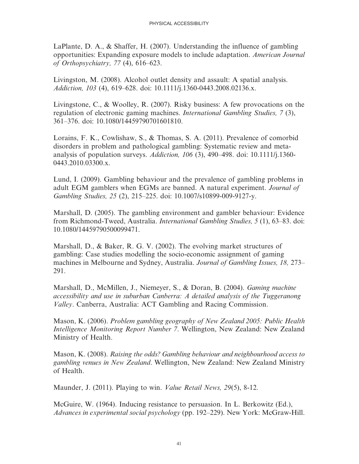LaPlante, D. A., & Shaffer, H. (2007). Understanding the influence of gambling opportunities: Expanding exposure models to include adaptation. American Journal of Orthopsychiatry, 77 (4), 616–623.

Livingston, M. (2008). Alcohol outlet density and assault: A spatial analysis. Addiction, 103 (4), 619–628. doi: 10.1111/j.1360-0443.2008.02136.x.

Livingstone, C., & Woolley, R. (2007). Risky business: A few provocations on the regulation of electronic gaming machines. International Gambling Studies, 7 (3), 361–376. doi: 10.1080/14459790701601810.

Lorains, F. K., Cowlishaw, S., & Thomas, S. A. (2011). Prevalence of comorbid disorders in problem and pathological gambling: Systematic review and metaanalysis of population surveys. Addiction, 106 (3), 490–498. doi: 10.1111/j.1360- 0443.2010.03300.x.

Lund, I. (2009). Gambling behaviour and the prevalence of gambling problems in adult EGM gamblers when EGMs are banned. A natural experiment. Journal of Gambling Studies, 25 (2), 215–225. doi: 10.1007/s10899-009-9127-y.

Marshall, D. (2005). The gambling environment and gambler behaviour: Evidence from Richmond-Tweed, Australia. International Gambling Studies, 5 (1), 63–83. doi: 10.1080/14459790500099471.

Marshall, D., & Baker, R. G. V. (2002). The evolving market structures of gambling: Case studies modelling the socio-economic assignment of gaming machines in Melbourne and Sydney, Australia. Journal of Gambling Issues, 18, 273– 291.

Marshall, D., McMillen, J., Niemeyer, S., & Doran, B. (2004). Gaming machine accessibility and use in suburban Canberra: A detailed analysis of the Tuggeranong Valley. Canberra, Australia: ACT Gambling and Racing Commission.

Mason, K. (2006). Problem gambling geography of New Zealand 2005: Public Health Intelligence Monitoring Report Number 7. Wellington, New Zealand: New Zealand Ministry of Health.

Mason, K. (2008). Raising the odds? Gambling behaviour and neighbourhood access to gambling venues in New Zealand. Wellington, New Zealand: New Zealand Ministry of Health.

Maunder, J. (2011). Playing to win. Value Retail News, 29(5), 8-12.

McGuire, W. (1964). Inducing resistance to persuasion. In L. Berkowitz (Ed.), Advances in experimental social psychology (pp. 192–229). New York: McGraw-Hill.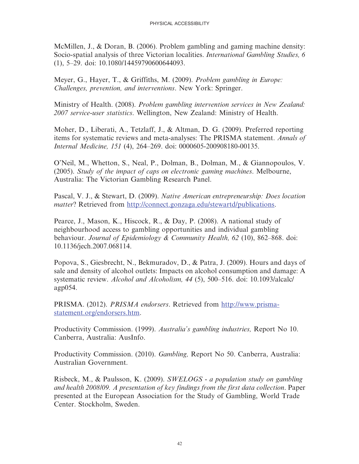McMillen, J., & Doran, B. (2006). Problem gambling and gaming machine density: Socio-spatial analysis of three Victorian localities. *International Gambling Studies, 6* (1), 5–29. doi: 10.1080/14459790600644093.

Meyer, G., Hayer, T., & Griffiths, M. (2009). Problem gambling in Europe: Challenges, prevention, and interventions. New York: Springer.

Ministry of Health. (2008). Problem gambling intervention services in New Zealand: 2007 service-user statistics. Wellington, New Zealand: Ministry of Health.

Moher, D., Liberati, A., Tetzlaff, J., & Altman, D. G. (2009). Preferred reporting items for systematic reviews and meta-analyses: The PRISMA statement. Annals of Internal Medicine, 151 (4), 264–269. doi: 0000605-200908180-00135.

O'Neil, M., Whetton, S., Neal, P., Dolman, B., Dolman, M., & Giannopoulos, V. (2005). Study of the impact of caps on electronic gaming machines. Melbourne, Australia: The Victorian Gambling Research Panel.

Pascal, V. J., & Stewart, D. (2009). Native American entrepreneurship: Does location matter? Retrieved from http://connect.gonzaga.edu/stewartd/publications.

Pearce, J., Mason, K., Hiscock, R., & Day, P. (2008). A national study of neighbourhood access to gambling opportunities and individual gambling behaviour. Journal of Epidemiology & Community Health, 62 (10), 862–868. doi: 10.1136/jech.2007.068114.

Popova, S., Giesbrecht, N., Bekmuradov, D., & Patra, J. (2009). Hours and days of sale and density of alcohol outlets: Impacts on alcohol consumption and damage: A systematic review. Alcohol and Alcoholism, 44 (5), 500–516. doi: 10.1093/alcalc/ agp054.

PRISMA. (2012). PRISMA endorsers. Retrieved from http://www.prismastatement.org/endorsers.htm.

Productivity Commission. (1999). Australia's gambling industries, Report No 10. Canberra, Australia: AusInfo.

Productivity Commission. (2010). Gambling, Report No 50. Canberra, Australia: Australian Government.

Risbeck, M., & Paulsson, K. (2009). SWELOGS - a population study on gambling and health 2008/09. A presentation of key findings from the first data collection. Paper presented at the European Association for the Study of Gambling, World Trade Center. Stockholm, Sweden.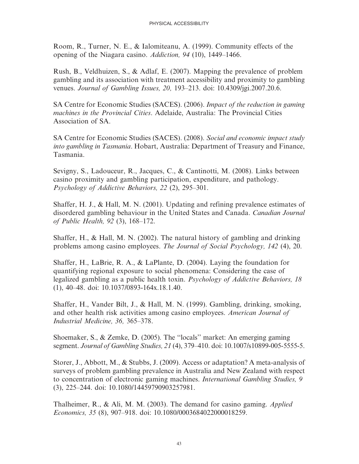Room, R., Turner, N. E., & Ialomiteanu, A. (1999). Community effects of the opening of the Niagara casino. Addiction, 94 (10), 1449–1466.

Rush, B., Veldhuizen, S., & Adlaf, E. (2007). Mapping the prevalence of problem gambling and its association with treatment accessibility and proximity to gambling venues. Journal of Gambling Issues, 20, 193–213. doi: 10.4309/jgi.2007.20.6.

SA Centre for Economic Studies (SACES). (2006). Impact of the reduction in gaming machines in the Provincial Cities. Adelaide, Australia: The Provincial Cities Association of SA.

SA Centre for Economic Studies (SACES). (2008). Social and economic impact study into gambling in Tasmania. Hobart, Australia: Department of Treasury and Finance, Tasmania.

Sevigny, S., Ladouceur, R., Jacques, C., & Cantinotti, M. (2008). Links between casino proximity and gambling participation, expenditure, and pathology. Psychology of Addictive Behaviors, 22 (2), 295–301.

Shaffer, H. J., & Hall, M. N. (2001). Updating and refining prevalence estimates of disordered gambling behaviour in the United States and Canada. Canadian Journal of Public Health, 92 (3), 168–172.

Shaffer, H., & Hall, M. N. (2002). The natural history of gambling and drinking problems among casino employees. The Journal of Social Psychology, 142 (4), 20.

Shaffer, H., LaBrie, R. A., & LaPlante, D. (2004). Laying the foundation for quantifying regional exposure to social phenomena: Considering the case of legalized gambling as a public health toxin. Psychology of Addictive Behaviors, 18 (1), 40–48. doi: 10.1037/0893-164x.18.1.40.

Shaffer, H., Vander Bilt, J., & Hall, M. N. (1999). Gambling, drinking, smoking, and other health risk activities among casino employees. American Journal of Industrial Medicine, 36, 365–378.

Shoemaker, S., & Zemke, D. (2005). The ''locals'' market: An emerging gaming segment. Journal of Gambling Studies, 21 (4), 379–410. doi: 10.1007/s10899-005-5555-5.

Storer, J., Abbott, M., & Stubbs, J. (2009). Access or adaptation? A meta-analysis of surveys of problem gambling prevalence in Australia and New Zealand with respect to concentration of electronic gaming machines. International Gambling Studies, 9 (3), 225–244. doi: 10.1080/14459790903257981.

Thalheimer, R., & Ali, M. M. (2003). The demand for casino gaming. Applied Economics, 35 (8), 907–918. doi: 10.1080/0003684022000018259.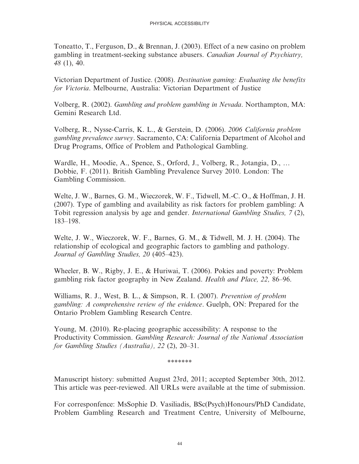Toneatto, T., Ferguson, D., & Brennan, J. (2003). Effect of a new casino on problem gambling in treatment-seeking substance abusers. Canadian Journal of Psychiatry, 48 (1), 40.

Victorian Department of Justice. (2008). Destination gaming: Evaluating the benefits for Victoria. Melbourne, Australia: Victorian Department of Justice

Volberg, R. (2002). Gambling and problem gambling in Nevada. Northampton, MA: Gemini Research Ltd.

Volberg, R., Nysse-Carris, K. L., & Gerstein, D. (2006). 2006 California problem gambling prevalence survey. Sacramento, CA: California Department of Alcohol and Drug Programs, Office of Problem and Pathological Gambling.

Wardle, H., Moodie, A., Spence, S., Orford, J., Volberg, R., Jotangia, D., … Dobbie, F. (2011). British Gambling Prevalence Survey 2010. London: The Gambling Commission.

Welte, J. W., Barnes, G. M., Wieczorek, W. F., Tidwell, M.-C. O., & Hoffman, J. H. (2007). Type of gambling and availability as risk factors for problem gambling: A Tobit regression analysis by age and gender. International Gambling Studies, 7 (2), 183–198.

Welte, J. W., Wieczorek, W. F., Barnes, G. M., & Tidwell, M. J. H. (2004). The relationship of ecological and geographic factors to gambling and pathology. Journal of Gambling Studies, 20 (405–423).

Wheeler, B. W., Rigby, J. E., & Huriwai, T. (2006). Pokies and poverty: Problem gambling risk factor geography in New Zealand. Health and Place, 22, 86–96.

Williams, R. J., West, B. L., & Simpson, R. I. (2007). Prevention of problem gambling: A comprehensive review of the evidence. Guelph, ON: Prepared for the Ontario Problem Gambling Research Centre.

Young, M. (2010). Re-placing geographic accessibility: A response to the Productivity Commission. Gambling Research: Journal of the National Association for Gambling Studies (Australia), 22 (2), 20–31.

\*\*\*\*\*\*\*

Manuscript history: submitted August 23rd, 2011; accepted September 30th, 2012. This article was peer-reviewed. All URLs were available at the time of submission.

For corresponfence: MsSophie D. Vasiliadis, BSc(Psych)Honours/PhD Candidate, Problem Gambling Research and Treatment Centre, University of Melbourne,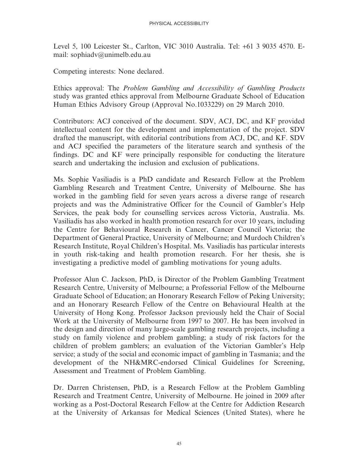Level 5, 100 Leicester St., Carlton, VIC 3010 Australia. Tel: +61 3 9035 4570. Email: sophiadv@unimelb.edu.au

Competing interests: None declared.

Ethics approval: The Problem Gambling and Accessibility of Gambling Products study was granted ethics approval from Melbourne Graduate School of Education Human Ethics Advisory Group (Approval No.1033229) on 29 March 2010.

Contributors: ACJ conceived of the document. SDV, ACJ, DC, and KF provided intellectual content for the development and implementation of the project. SDV drafted the manuscript, with editorial contributions from ACJ, DC, and KF. SDV and ACJ specified the parameters of the literature search and synthesis of the findings. DC and KF were principally responsible for conducting the literature search and undertaking the inclusion and exclusion of publications.

Ms. Sophie Vasiliadis is a PhD candidate and Research Fellow at the Problem Gambling Research and Treatment Centre, University of Melbourne. She has worked in the gambling field for seven years across a diverse range of research projects and was the Administrative Officer for the Council of Gambler's Help Services, the peak body for counselling services across Victoria, Australia. Ms. Vasiliadis has also worked in health promotion research for over 10 years, including the Centre for Behavioural Research in Cancer, Cancer Council Victoria; the Department of General Practice, University of Melbourne; and Murdoch Children's Research Institute, Royal Children's Hospital. Ms. Vasiliadis has particular interests in youth risk-taking and health promotion research. For her thesis, she is investigating a predictive model of gambling motivations for young adults.

Professor Alun C. Jackson, PhD, is Director of the Problem Gambling Treatment Research Centre, University of Melbourne; a Professorial Fellow of the Melbourne Graduate School of Education; an Honorary Research Fellow of Peking University; and an Honorary Research Fellow of the Centre on Behavioural Health at the University of Hong Kong. Professor Jackson previously held the Chair of Social Work at the University of Melbourne from 1997 to 2007. He has been involved in the design and direction of many large-scale gambling research projects, including a study on family violence and problem gambling; a study of risk factors for the children of problem gamblers; an evaluation of the Victorian Gambler's Help service; a study of the social and economic impact of gambling in Tasmania; and the development of the NH&MRC-endorsed Clinical Guidelines for Screening, Assessment and Treatment of Problem Gambling.

Dr. Darren Christensen, PhD, is a Research Fellow at the Problem Gambling Research and Treatment Centre, University of Melbourne. He joined in 2009 after working as a Post-Doctoral Research Fellow at the Centre for Addiction Research at the University of Arkansas for Medical Sciences (United States), where he